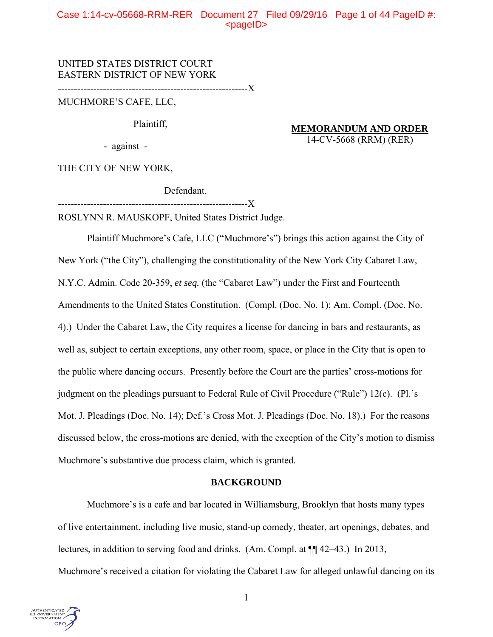# Case 1:14-cv-05668-RRM-RER Document 27 Filed 09/29/16 Page 1 of 44 PageID #:  $<$ pageID $>$

UNITED STATES DISTRICT COURT EASTERN DISTRICT OF NEW YORK

-----------------------------------------------------------X

MUCHMORE'S CAFE, LLC,

Plaintiff,

**MEMORANDUM AND ORDER**  14-CV-5668 (RRM) (RER)

- against -

THE CITY OF NEW YORK,

Defendant.

-----------------------------------------------------------X

ROSLYNN R. MAUSKOPF, United States District Judge.

Plaintiff Muchmore's Cafe, LLC ("Muchmore's") brings this action against the City of New York ("the City"), challenging the constitutionality of the New York City Cabaret Law, N.Y.C. Admin. Code 20-359, *et seq.* (the "Cabaret Law") under the First and Fourteenth Amendments to the United States Constitution. (Compl. (Doc. No. 1); Am. Compl. (Doc. No. 4).) Under the Cabaret Law, the City requires a license for dancing in bars and restaurants, as well as, subject to certain exceptions, any other room, space, or place in the City that is open to the public where dancing occurs. Presently before the Court are the parties' cross-motions for judgment on the pleadings pursuant to Federal Rule of Civil Procedure ("Rule") 12(c). (Pl.'s Mot. J. Pleadings (Doc. No. 14); Def.'s Cross Mot. J. Pleadings (Doc. No. 18).) For the reasons discussed below, the cross-motions are denied, with the exception of the City's motion to dismiss Muchmore's substantive due process claim, which is granted.

## **BACKGROUND**

Muchmore's is a cafe and bar located in Williamsburg, Brooklyn that hosts many types of live entertainment, including live music, stand-up comedy, theater, art openings, debates, and lectures, in addition to serving food and drinks. (Am. Compl. at ¶¶ 42–43.) In 2013,

Muchmore's received a citation for violating the Cabaret Law for alleged unlawful dancing on its

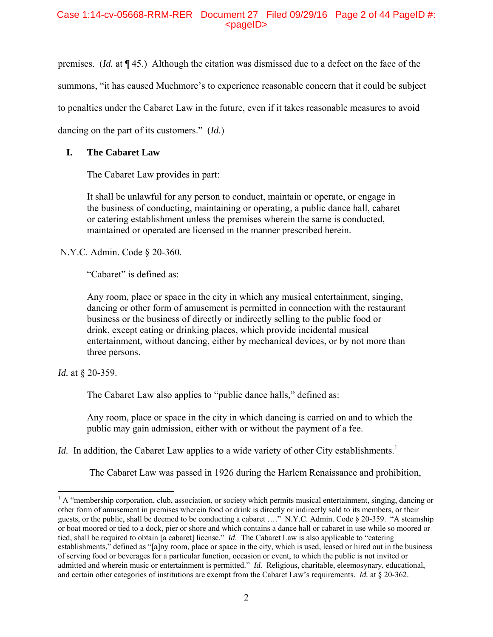premises. (*Id.* at ¶ 45.) Although the citation was dismissed due to a defect on the face of the summons, "it has caused Muchmore's to experience reasonable concern that it could be subject to penalties under the Cabaret Law in the future, even if it takes reasonable measures to avoid dancing on the part of its customers." (*Id.*)

# **I. The Cabaret Law**

The Cabaret Law provides in part:

It shall be unlawful for any person to conduct, maintain or operate, or engage in the business of conducting, maintaining or operating, a public dance hall, cabaret or catering establishment unless the premises wherein the same is conducted, maintained or operated are licensed in the manner prescribed herein.

N.Y.C. Admin. Code § 20-360.

"Cabaret" is defined as:

Any room, place or space in the city in which any musical entertainment, singing, dancing or other form of amusement is permitted in connection with the restaurant business or the business of directly or indirectly selling to the public food or drink, except eating or drinking places, which provide incidental musical entertainment, without dancing, either by mechanical devices, or by not more than three persons.

*Id.* at § 20-359.

 $\overline{a}$ 

The Cabaret Law also applies to "public dance halls," defined as:

 Any room, place or space in the city in which dancing is carried on and to which the public may gain admission, either with or without the payment of a fee.

*Id.* In addition, the Cabaret Law applies to a wide variety of other City establishments.<sup>1</sup>

The Cabaret Law was passed in 1926 during the Harlem Renaissance and prohibition,

<sup>&</sup>lt;sup>1</sup> A "membership corporation, club, association, or society which permits musical entertainment, singing, dancing or other form of amusement in premises wherein food or drink is directly or indirectly sold to its members, or their guests, or the public, shall be deemed to be conducting a cabaret …." N.Y.C. Admin. Code § 20-359. "A steamship or boat moored or tied to a dock, pier or shore and which contains a dance hall or cabaret in use while so moored or tied, shall be required to obtain [a cabaret] license." *Id*. The Cabaret Law is also applicable to "catering establishments," defined as "[a]ny room, place or space in the city, which is used, leased or hired out in the business of serving food or beverages for a particular function, occasion or event, to which the public is not invited or admitted and wherein music or entertainment is permitted." *Id.* Religious, charitable, eleemosynary, educational, and certain other categories of institutions are exempt from the Cabaret Law's requirements. *Id.* at § 20-362.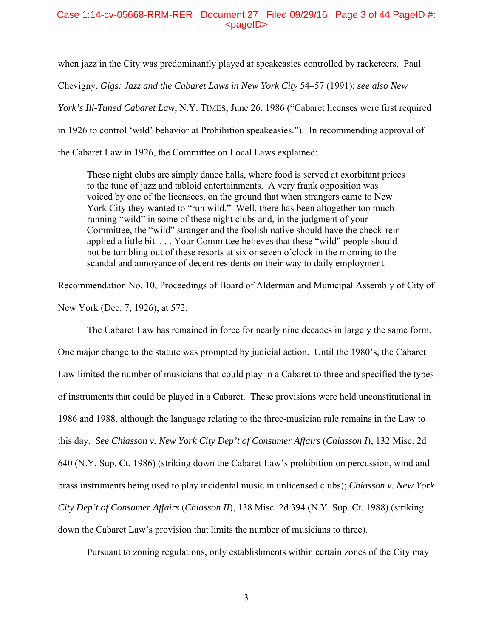## Case 1:14-cv-05668-RRM-RER Document 27 Filed 09/29/16 Page 3 of 44 PageID #:  $<$ pageID $>$

when jazz in the City was predominantly played at speakeasies controlled by racketeers. Paul Chevigny, *Gigs: Jazz and the Cabaret Laws in New York City* 54–57 (1991); *see also New York's Ill-Tuned Cabaret Law*, N.Y. TIMES, June 26, 1986 ("Cabaret licenses were first required in 1926 to control 'wild' behavior at Prohibition speakeasies."). In recommending approval of the Cabaret Law in 1926, the Committee on Local Laws explained:

These night clubs are simply dance halls, where food is served at exorbitant prices to the tune of jazz and tabloid entertainments. A very frank opposition was voiced by one of the licensees, on the ground that when strangers came to New York City they wanted to "run wild." Well, there has been altogether too much running "wild" in some of these night clubs and, in the judgment of your Committee, the "wild" stranger and the foolish native should have the check-rein applied a little bit. . . . Your Committee believes that these "wild" people should not be tumbling out of these resorts at six or seven o'clock in the morning to the scandal and annoyance of decent residents on their way to daily employment.

Recommendation No. 10, Proceedings of Board of Alderman and Municipal Assembly of City of New York (Dec. 7, 1926), at 572.

 The Cabaret Law has remained in force for nearly nine decades in largely the same form. One major change to the statute was prompted by judicial action. Until the 1980's, the Cabaret Law limited the number of musicians that could play in a Cabaret to three and specified the types of instruments that could be played in a Cabaret. These provisions were held unconstitutional in 1986 and 1988, although the language relating to the three-musician rule remains in the Law to this day. *See Chiasson v. New York City Dep't of Consumer Affairs* (*Chiasson I*), 132 Misc. 2d 640 (N.Y. Sup. Ct. 1986) (striking down the Cabaret Law's prohibition on percussion, wind and brass instruments being used to play incidental music in unlicensed clubs); *Chiasson v. New York City Dep't of Consumer Affairs* (*Chiasson II*), 138 Misc. 2d 394 (N.Y. Sup. Ct. 1988) (striking down the Cabaret Law's provision that limits the number of musicians to three).

Pursuant to zoning regulations, only establishments within certain zones of the City may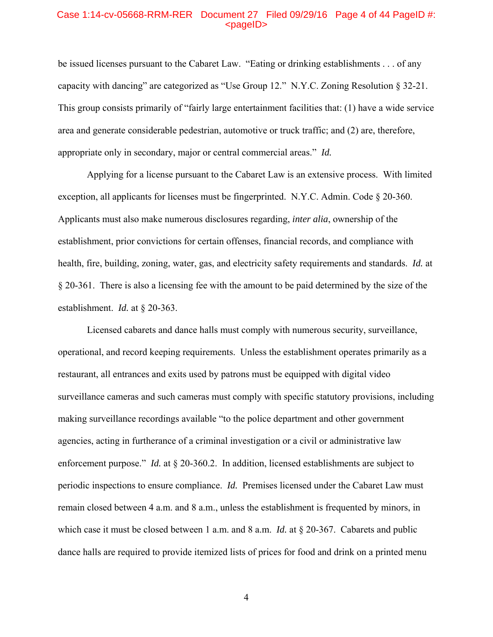#### Case 1:14-cv-05668-RRM-RER Document 27 Filed 09/29/16 Page 4 of 44 PageID #:  $<sub>pa</sub>$ gelD $>$ </sub>

be issued licenses pursuant to the Cabaret Law. "Eating or drinking establishments . . . of any capacity with dancing" are categorized as "Use Group 12." N.Y.C. Zoning Resolution § 32-21. This group consists primarily of "fairly large entertainment facilities that: (1) have a wide service area and generate considerable pedestrian, automotive or truck traffic; and (2) are, therefore, appropriate only in secondary, major or central commercial areas." *Id.*

Applying for a license pursuant to the Cabaret Law is an extensive process. With limited exception, all applicants for licenses must be fingerprinted. N.Y.C. Admin. Code § 20-360. Applicants must also make numerous disclosures regarding, *inter alia*, ownership of the establishment, prior convictions for certain offenses, financial records, and compliance with health, fire, building, zoning, water, gas, and electricity safety requirements and standards. *Id.* at § 20-361. There is also a licensing fee with the amount to be paid determined by the size of the establishment. *Id.* at § 20-363.

Licensed cabarets and dance halls must comply with numerous security, surveillance, operational, and record keeping requirements. Unless the establishment operates primarily as a restaurant, all entrances and exits used by patrons must be equipped with digital video surveillance cameras and such cameras must comply with specific statutory provisions, including making surveillance recordings available "to the police department and other government agencies, acting in furtherance of a criminal investigation or a civil or administrative law enforcement purpose." *Id.* at § 20-360.2. In addition, licensed establishments are subject to periodic inspections to ensure compliance. *Id.* Premises licensed under the Cabaret Law must remain closed between 4 a.m. and 8 a.m., unless the establishment is frequented by minors, in which case it must be closed between 1 a.m. and 8 a.m. *Id.* at § 20-367. Cabarets and public dance halls are required to provide itemized lists of prices for food and drink on a printed menu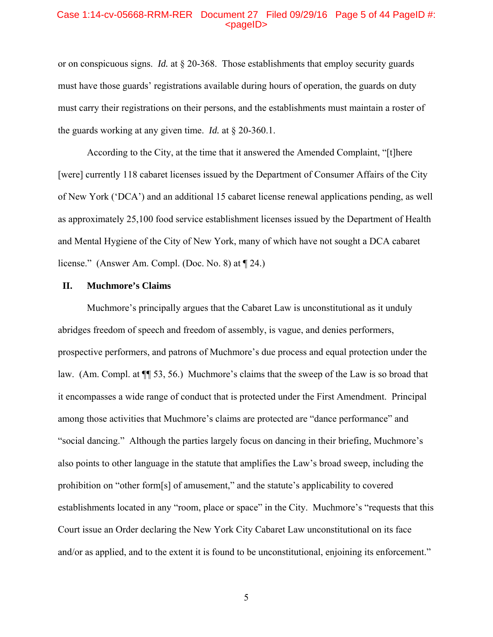#### Case 1:14-cv-05668-RRM-RER Document 27 Filed 09/29/16 Page 5 of 44 PageID #:  $<sub>pa</sub>$  $<sub>o</sub>$ </sub></sub>

or on conspicuous signs. *Id.* at § 20-368. Those establishments that employ security guards must have those guards' registrations available during hours of operation, the guards on duty must carry their registrations on their persons, and the establishments must maintain a roster of the guards working at any given time. *Id.* at § 20-360.1.

According to the City, at the time that it answered the Amended Complaint, "[t]here [were] currently 118 cabaret licenses issued by the Department of Consumer Affairs of the City of New York ('DCA') and an additional 15 cabaret license renewal applications pending, as well as approximately 25,100 food service establishment licenses issued by the Department of Health and Mental Hygiene of the City of New York, many of which have not sought a DCA cabaret license." (Answer Am. Compl. (Doc. No. 8) at ¶ 24.)

## **II. Muchmore's Claims**

 Muchmore's principally argues that the Cabaret Law is unconstitutional as it unduly abridges freedom of speech and freedom of assembly, is vague, and denies performers, prospective performers, and patrons of Muchmore's due process and equal protection under the law. (Am. Compl. at ¶¶ 53, 56.) Muchmore's claims that the sweep of the Law is so broad that it encompasses a wide range of conduct that is protected under the First Amendment. Principal among those activities that Muchmore's claims are protected are "dance performance" and "social dancing." Although the parties largely focus on dancing in their briefing, Muchmore's also points to other language in the statute that amplifies the Law's broad sweep, including the prohibition on "other form[s] of amusement," and the statute's applicability to covered establishments located in any "room, place or space" in the City. Muchmore's "requests that this Court issue an Order declaring the New York City Cabaret Law unconstitutional on its face and/or as applied, and to the extent it is found to be unconstitutional, enjoining its enforcement."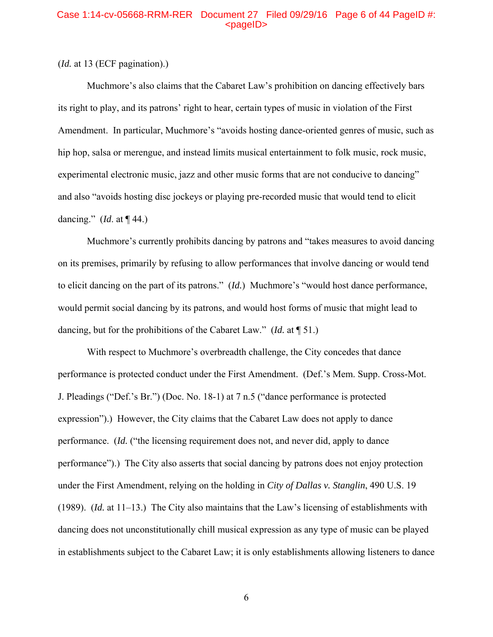### Case 1:14-cv-05668-RRM-RER Document 27 Filed 09/29/16 Page 6 of 44 PageID #:  $<sub>pa</sub>$ gelD $>$ </sub>

## (*Id.* at 13 (ECF pagination).)

Muchmore's also claims that the Cabaret Law's prohibition on dancing effectively bars its right to play, and its patrons' right to hear, certain types of music in violation of the First Amendment.In particular, Muchmore's "avoids hosting dance-oriented genres of music, such as hip hop, salsa or merengue, and instead limits musical entertainment to folk music, rock music, experimental electronic music, jazz and other music forms that are not conducive to dancing" and also "avoids hosting disc jockeys or playing pre-recorded music that would tend to elicit dancing." (*Id*. at ¶ 44.)

Muchmore's currently prohibits dancing by patrons and "takes measures to avoid dancing on its premises, primarily by refusing to allow performances that involve dancing or would tend to elicit dancing on the part of its patrons." (*Id.*) Muchmore's "would host dance performance, would permit social dancing by its patrons, and would host forms of music that might lead to dancing, but for the prohibitions of the Cabaret Law." (*Id.* at ¶ 51.)

 With respect to Muchmore's overbreadth challenge, the City concedes that dance performance is protected conduct under the First Amendment. (Def.'s Mem. Supp. Cross-Mot. J. Pleadings ("Def.'s Br.") (Doc. No. 18-1) at 7 n.5 ("dance performance is protected expression").)However, the City claims that the Cabaret Law does not apply to dance performance. (*Id.* ("the licensing requirement does not, and never did, apply to dance performance").) The City also asserts that social dancing by patrons does not enjoy protection under the First Amendment, relying on the holding in *City of Dallas v. Stanglin*, 490 U.S. 19 (1989).(*Id.* at 11–13.)The City also maintains that the Law's licensing of establishments with dancing does not unconstitutionally chill musical expression as any type of music can be played in establishments subject to the Cabaret Law; it is only establishments allowing listeners to dance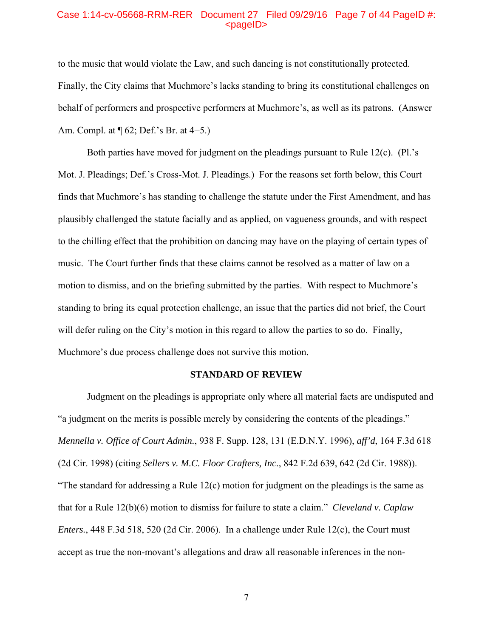#### Case 1:14-cv-05668-RRM-RER Document 27 Filed 09/29/16 Page 7 of 44 PageID #:  $<sub>pa</sub>$  $<sub>o</sub>$ </sub></sub>

to the music that would violate the Law, and such dancing is not constitutionally protected. Finally, the City claims that Muchmore's lacks standing to bring its constitutional challenges on behalf of performers and prospective performers at Muchmore's, as well as its patrons. (Answer Am. Compl. at ¶ 62; Def.'s Br. at 4−5.)

Both parties have moved for judgment on the pleadings pursuant to Rule 12(c). (Pl.'s Mot. J. Pleadings; Def.'s Cross-Mot. J. Pleadings.) For the reasons set forth below, this Court finds that Muchmore's has standing to challenge the statute under the First Amendment, and has plausibly challenged the statute facially and as applied, on vagueness grounds, and with respect to the chilling effect that the prohibition on dancing may have on the playing of certain types of music. The Court further finds that these claims cannot be resolved as a matter of law on a motion to dismiss, and on the briefing submitted by the parties. With respect to Muchmore's standing to bring its equal protection challenge, an issue that the parties did not brief, the Court will defer ruling on the City's motion in this regard to allow the parties to so do. Finally, Muchmore's due process challenge does not survive this motion.

### **STANDARD OF REVIEW**

Judgment on the pleadings is appropriate only where all material facts are undisputed and "a judgment on the merits is possible merely by considering the contents of the pleadings." *Mennella v. Office of Court Admin.*, 938 F. Supp. 128, 131 (E.D.N.Y. 1996), *aff'd*, 164 F.3d 618 (2d Cir. 1998) (citing *Sellers v. M.C. Floor Crafters, Inc.*, 842 F.2d 639, 642 (2d Cir. 1988)). "The standard for addressing a Rule 12(c) motion for judgment on the pleadings is the same as that for a Rule 12(b)(6) motion to dismiss for failure to state a claim." *Cleveland v. Caplaw Enters.*, 448 F.3d 518, 520 (2d Cir. 2006). In a challenge under Rule 12(c), the Court must accept as true the non-movant's allegations and draw all reasonable inferences in the non-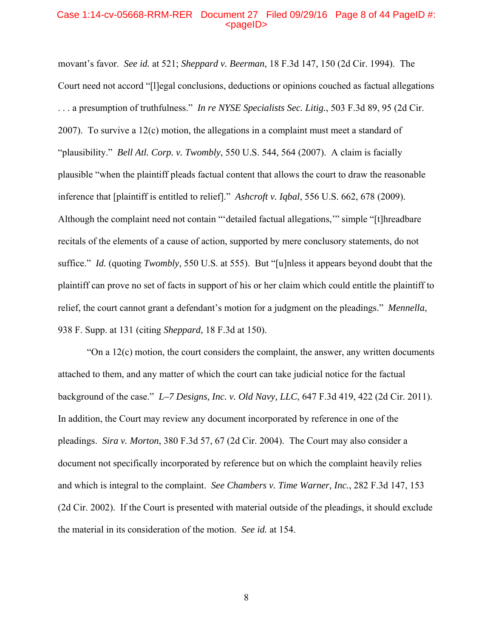### Case 1:14-cv-05668-RRM-RER Document 27 Filed 09/29/16 Page 8 of 44 PageID #:  $<sub>pa</sub>$  $<sub>o</sub>$ </sub></sub>

movant's favor. *See id.* at 521; *Sheppard v. Beerman*, 18 F.3d 147, 150 (2d Cir. 1994). The Court need not accord "[l]egal conclusions, deductions or opinions couched as factual allegations . . . a presumption of truthfulness." *In re NYSE Specialists Sec. Litig.*, 503 F.3d 89, 95 (2d Cir. 2007). To survive a 12(c) motion, the allegations in a complaint must meet a standard of "plausibility." *Bell Atl. Corp. v. Twombly*, 550 U.S. 544, 564 (2007). A claim is facially plausible "when the plaintiff pleads factual content that allows the court to draw the reasonable inference that [plaintiff is entitled to relief]." *Ashcroft v. Iqbal*, 556 U.S. 662, 678 (2009). Although the complaint need not contain "'detailed factual allegations,'" simple "[t]hreadbare recitals of the elements of a cause of action, supported by mere conclusory statements, do not suffice." *Id.* (quoting *Twombly*, 550 U.S. at 555). But "[u]nless it appears beyond doubt that the plaintiff can prove no set of facts in support of his or her claim which could entitle the plaintiff to relief, the court cannot grant a defendant's motion for a judgment on the pleadings." *Mennella*, 938 F. Supp. at 131 (citing *Sheppard*, 18 F.3d at 150).

"On a  $12(c)$  motion, the court considers the complaint, the answer, any written documents attached to them, and any matter of which the court can take judicial notice for the factual background of the case." *L–7 Designs, Inc. v. Old Navy, LLC*, 647 F.3d 419, 422 (2d Cir. 2011). In addition, the Court may review any document incorporated by reference in one of the pleadings. *Sira v. Morton*, 380 F.3d 57, 67 (2d Cir. 2004). The Court may also consider a document not specifically incorporated by reference but on which the complaint heavily relies and which is integral to the complaint. *See Chambers v. Time Warner, Inc.*, 282 F.3d 147, 153 (2d Cir. 2002). If the Court is presented with material outside of the pleadings, it should exclude the material in its consideration of the motion. *See id.* at 154.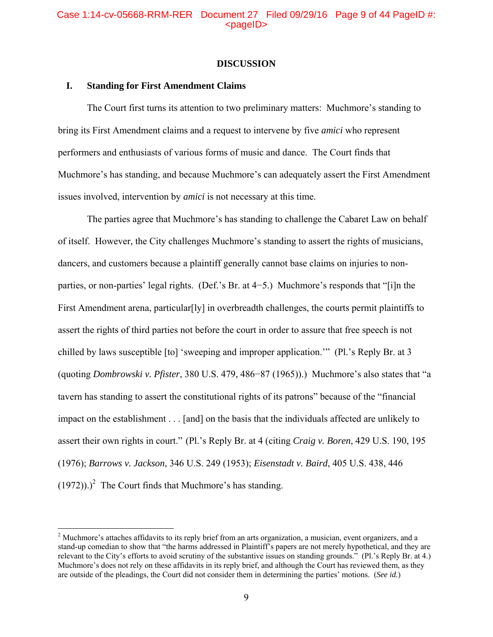### **DISCUSSION**

## **I. Standing for First Amendment Claims**

 $\overline{a}$ 

The Court first turns its attention to two preliminary matters: Muchmore's standing to bring its First Amendment claims and a request to intervene by five *amici* who represent performers and enthusiasts of various forms of music and dance. The Court finds that Muchmore's has standing, and because Muchmore's can adequately assert the First Amendment issues involved, intervention by *amici* is not necessary at this time.

The parties agree that Muchmore's has standing to challenge the Cabaret Law on behalf of itself. However, the City challenges Muchmore's standing to assert the rights of musicians, dancers, and customers because a plaintiff generally cannot base claims on injuries to nonparties, or non-parties' legal rights. (Def.'s Br. at 4−5.) Muchmore's responds that "[i]n the First Amendment arena, particular[ly] in overbreadth challenges, the courts permit plaintiffs to assert the rights of third parties not before the court in order to assure that free speech is not chilled by laws susceptible [to] 'sweeping and improper application.'" (Pl.'s Reply Br. at 3 (quoting *Dombrowski v. Pfister*, 380 U.S. 479, 486−87 (1965)).) Muchmore's also states that "a tavern has standing to assert the constitutional rights of its patrons" because of the "financial impact on the establishment . . . [and] on the basis that the individuals affected are unlikely to assert their own rights in court." (Pl.'s Reply Br. at 4 (citing *Craig v. Boren*, 429 U.S. 190, 195 (1976); *Barrows v. Jackson*, 346 U.S. 249 (1953); *Eisenstadt v. Baird*, 405 U.S. 438, 446  $(1972))$ .<sup>2</sup> The Court finds that Muchmore's has standing.

 $2<sup>2</sup>$  Muchmore's attaches affidavits to its reply brief from an arts organization, a musician, event organizers, and a stand-up comedian to show that "the harms addressed in Plaintiff's papers are not merely hypothetical, and they are relevant to the City's efforts to avoid scrutiny of the substantive issues on standing grounds." (Pl.'s Reply Br. at 4.) Muchmore's does not rely on these affidavits in its reply brief, and although the Court has reviewed them, as they are outside of the pleadings, the Court did not consider them in determining the parties' motions. (*See id.*)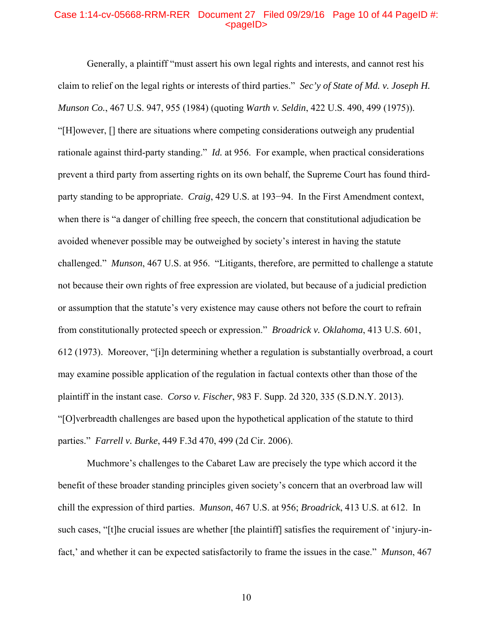## Case 1:14-cv-05668-RRM-RER Document 27 Filed 09/29/16 Page 10 of 44 PageID #: <pageID>

Generally, a plaintiff "must assert his own legal rights and interests, and cannot rest his claim to relief on the legal rights or interests of third parties." *Sec'y of State of Md. v. Joseph H. Munson Co.*, 467 U.S. 947, 955 (1984) (quoting *Warth v. Seldin*, 422 U.S. 490, 499 (1975)). "[H]owever, [] there are situations where competing considerations outweigh any prudential rationale against third-party standing." *Id.* at 956. For example, when practical considerations prevent a third party from asserting rights on its own behalf, the Supreme Court has found thirdparty standing to be appropriate. *Craig*, 429 U.S. at 193−94. In the First Amendment context, when there is "a danger of chilling free speech, the concern that constitutional adjudication be avoided whenever possible may be outweighed by society's interest in having the statute challenged." *Munson*, 467 U.S. at 956. "Litigants, therefore, are permitted to challenge a statute not because their own rights of free expression are violated, but because of a judicial prediction or assumption that the statute's very existence may cause others not before the court to refrain from constitutionally protected speech or expression." *Broadrick v. Oklahoma*, 413 U.S. 601, 612 (1973). Moreover, "[i]n determining whether a regulation is substantially overbroad, a court may examine possible application of the regulation in factual contexts other than those of the plaintiff in the instant case. *Corso v. Fischer*, 983 F. Supp. 2d 320, 335 (S.D.N.Y. 2013). "[O]verbreadth challenges are based upon the hypothetical application of the statute to third parties." *Farrell v. Burke*, 449 F.3d 470, 499 (2d Cir. 2006).

Muchmore's challenges to the Cabaret Law are precisely the type which accord it the benefit of these broader standing principles given society's concern that an overbroad law will chill the expression of third parties. *Munson*, 467 U.S. at 956; *Broadrick*, 413 U.S. at 612. In such cases, "[t]he crucial issues are whether [the plaintiff] satisfies the requirement of 'injury-infact,' and whether it can be expected satisfactorily to frame the issues in the case." *Munson*, 467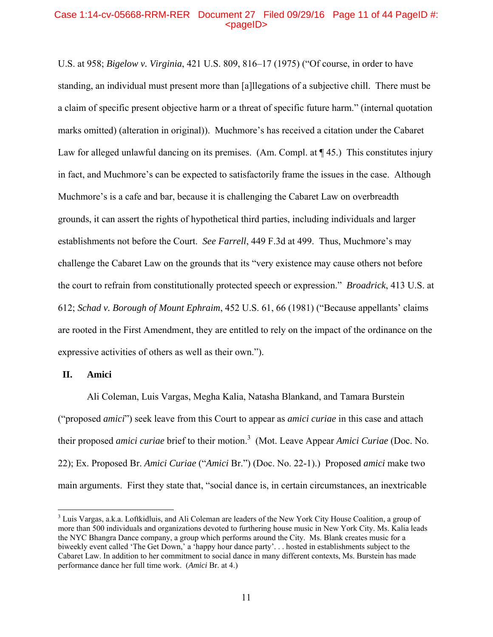## Case 1:14-cv-05668-RRM-RER Document 27 Filed 09/29/16 Page 11 of 44 PageID #:  $<sub>pa</sub>$  $<sub>o</sub>$ </sub></sub>

U.S. at 958; *Bigelow v. Virginia*, 421 U.S. 809, 816–17 (1975) ("Of course, in order to have standing, an individual must present more than [a]llegations of a subjective chill. There must be a claim of specific present objective harm or a threat of specific future harm." (internal quotation marks omitted) (alteration in original)). Muchmore's has received a citation under the Cabaret Law for alleged unlawful dancing on its premises. (Am. Compl. at  $\P$  45.) This constitutes injury in fact, and Muchmore's can be expected to satisfactorily frame the issues in the case. Although Muchmore's is a cafe and bar, because it is challenging the Cabaret Law on overbreadth grounds, it can assert the rights of hypothetical third parties, including individuals and larger establishments not before the Court. *See Farrell*, 449 F.3d at 499. Thus, Muchmore's may challenge the Cabaret Law on the grounds that its "very existence may cause others not before the court to refrain from constitutionally protected speech or expression." *Broadrick*, 413 U.S. at 612; *Schad v. Borough of Mount Ephraim*, 452 U.S. 61, 66 (1981) ("Because appellants' claims are rooted in the First Amendment, they are entitled to rely on the impact of the ordinance on the expressive activities of others as well as their own.").

**II. Amici** 

<u>.</u>

Ali Coleman, Luis Vargas, Megha Kalia, Natasha Blankand, and Tamara Burstein ("proposed *amici*") seek leave from this Court to appear as *amici curiae* in this case and attach their proposed *amici curiae* brief to their motion.3 (Mot. Leave Appear *Amici Curiae* (Doc. No. 22); Ex. Proposed Br. *Amici Curiae* ("*Amici* Br.") (Doc. No. 22-1).) Proposed *amici* make two main arguments. First they state that, "social dance is, in certain circumstances, an inextricable

<sup>&</sup>lt;sup>3</sup> Luis Vargas, a.k.a. Loftkidluis, and Ali Coleman are leaders of the New York City House Coalition, a group of more than 500 individuals and organizations devoted to furthering house music in New York City. Ms. Kalia leads the NYC Bhangra Dance company, a group which performs around the City. Ms. Blank creates music for a biweekly event called 'The Get Down,' a 'happy hour dance party'. . . hosted in establishments subject to the Cabaret Law. In addition to her commitment to social dance in many different contexts, Ms. Burstein has made performance dance her full time work. (*Amici* Br. at 4.)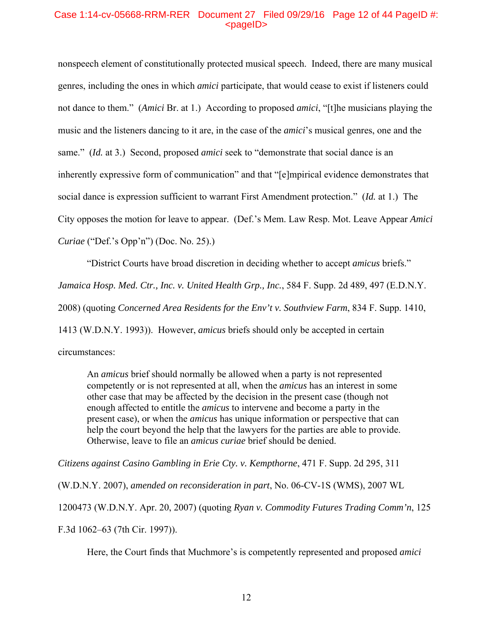## Case 1:14-cv-05668-RRM-RER Document 27 Filed 09/29/16 Page 12 of 44 PageID #:  $<$ pageID $>$

nonspeech element of constitutionally protected musical speech. Indeed, there are many musical genres, including the ones in which *amici* participate, that would cease to exist if listeners could not dance to them." (*Amici* Br. at 1.) According to proposed *amici*, "[t]he musicians playing the music and the listeners dancing to it are, in the case of the *amici*'s musical genres, one and the same." (*Id.* at 3.) Second, proposed *amici* seek to "demonstrate that social dance is an inherently expressive form of communication" and that "[e]mpirical evidence demonstrates that social dance is expression sufficient to warrant First Amendment protection." (*Id.* at 1.) The City opposes the motion for leave to appear. (Def.'s Mem. Law Resp. Mot. Leave Appear *Amici Curiae* ("Def.'s Opp'n") (Doc. No. 25).)

"District Courts have broad discretion in deciding whether to accept *amicus* briefs." *Jamaica Hosp. Med. Ctr., Inc. v. United Health Grp., Inc.*, 584 F. Supp. 2d 489, 497 (E.D.N.Y. 2008) (quoting *Concerned Area Residents for the Env't v. Southview Farm*, 834 F. Supp. 1410, 1413 (W.D.N.Y. 1993)). However, *amicus* briefs should only be accepted in certain circumstances:

An *amicus* brief should normally be allowed when a party is not represented competently or is not represented at all, when the *amicus* has an interest in some other case that may be affected by the decision in the present case (though not enough affected to entitle the *amicus* to intervene and become a party in the present case), or when the *amicus* has unique information or perspective that can help the court beyond the help that the lawyers for the parties are able to provide. Otherwise, leave to file an *amicus curiae* brief should be denied.

*Citizens against Casino Gambling in Erie Cty. v. Kempthorne*, 471 F. Supp. 2d 295, 311

(W.D.N.Y. 2007), *amended on reconsideration in part*, No. 06-CV-1S (WMS), 2007 WL

1200473 (W.D.N.Y. Apr. 20, 2007) (quoting *Ryan v. Commodity Futures Trading Comm'n*, 125

F.3d 1062–63 (7th Cir. 1997)).

Here, the Court finds that Muchmore's is competently represented and proposed *amici*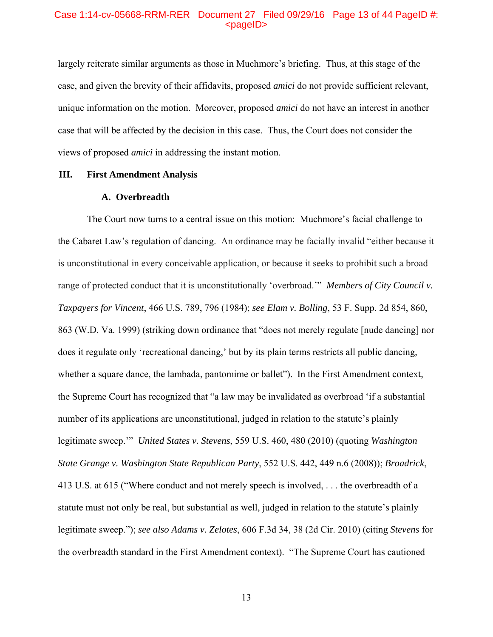### Case 1:14-cv-05668-RRM-RER Document 27 Filed 09/29/16 Page 13 of 44 PageID #: <pageID>

largely reiterate similar arguments as those in Muchmore's briefing. Thus, at this stage of the case, and given the brevity of their affidavits, proposed *amici* do not provide sufficient relevant, unique information on the motion. Moreover, proposed *amici* do not have an interest in another case that will be affected by the decision in this case. Thus, the Court does not consider the views of proposed *amici* in addressing the instant motion.

### **III. First Amendment Analysis**

#### **A. Overbreadth**

The Court now turns to a central issue on this motion: Muchmore's facial challenge to the Cabaret Law's regulation of dancing. An ordinance may be facially invalid "either because it is unconstitutional in every conceivable application, or because it seeks to prohibit such a broad range of protected conduct that it is unconstitutionally 'overbroad.'" *Members of City Council v. Taxpayers for Vincent*, 466 U.S. 789, 796 (1984); *see Elam v. Bolling*, 53 F. Supp. 2d 854, 860, 863 (W.D. Va. 1999) (striking down ordinance that "does not merely regulate [nude dancing] nor does it regulate only 'recreational dancing,' but by its plain terms restricts all public dancing, whether a square dance, the lambada, pantomime or ballet"). In the First Amendment context, the Supreme Court has recognized that "a law may be invalidated as overbroad 'if a substantial number of its applications are unconstitutional, judged in relation to the statute's plainly legitimate sweep.'" *United States v. Stevens*, 559 U.S. 460, 480 (2010) (quoting *Washington State Grange v. Washington State Republican Party*, 552 U.S. 442, 449 n.6 (2008)); *Broadrick*, 413 U.S. at 615 ("Where conduct and not merely speech is involved, . . . the overbreadth of a statute must not only be real, but substantial as well, judged in relation to the statute's plainly legitimate sweep."); *see also Adams v. Zelotes*, 606 F.3d 34, 38 (2d Cir. 2010) (citing *Stevens* for the overbreadth standard in the First Amendment context). "The Supreme Court has cautioned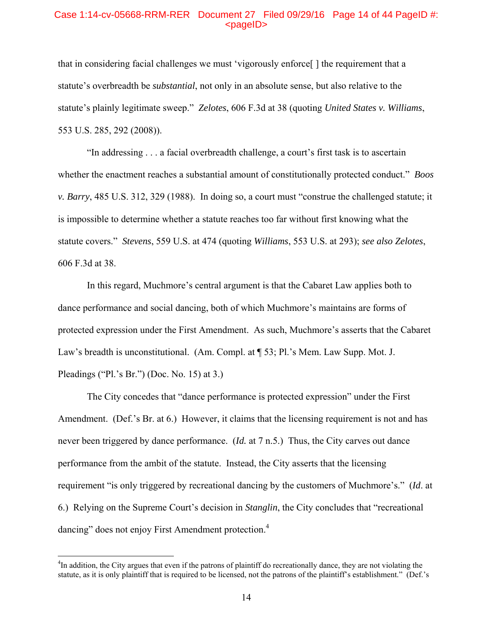### Case 1:14-cv-05668-RRM-RER Document 27 Filed 09/29/16 Page 14 of 44 PageID #:  $<sub>pa</sub>$  $<sub>o</sub>$ </sub></sub>

that in considering facial challenges we must 'vigorously enforce[ ] the requirement that a statute's overbreadth be *substantial*, not only in an absolute sense, but also relative to the statute's plainly legitimate sweep." *Zelotes*, 606 F.3d at 38 (quoting *United States v. Williams*, 553 U.S. 285, 292 (2008)).

"In addressing . . . a facial overbreadth challenge, a court's first task is to ascertain whether the enactment reaches a substantial amount of constitutionally protected conduct." *Boos v. Barry*, 485 U.S. 312, 329 (1988). In doing so, a court must "construe the challenged statute; it is impossible to determine whether a statute reaches too far without first knowing what the statute covers." *Stevens*, 559 U.S. at 474 (quoting *Williams*, 553 U.S. at 293); *see also Zelotes*, 606 F.3d at 38.

In this regard, Muchmore's central argument is that the Cabaret Law applies both to dance performance and social dancing, both of which Muchmore's maintains are forms of protected expression under the First Amendment. As such, Muchmore's asserts that the Cabaret Law's breadth is unconstitutional. (Am. Compl. at  $\P$  53; Pl.'s Mem. Law Supp. Mot. J. Pleadings ("Pl.'s Br.") (Doc. No. 15) at 3.)

The City concedes that "dance performance is protected expression" under the First Amendment. (Def.'s Br. at 6.) However, it claims that the licensing requirement is not and has never been triggered by dance performance. (*Id.* at 7 n.5.) Thus, the City carves out dance performance from the ambit of the statute. Instead, the City asserts that the licensing requirement "is only triggered by recreational dancing by the customers of Muchmore's." (*Id*. at 6.) Relying on the Supreme Court's decision in *Stanglin*, the City concludes that "recreational dancing" does not enjoy First Amendment protection.<sup>4</sup>

 $\overline{a}$ 

<sup>&</sup>lt;sup>4</sup>In addition, the City argues that even if the patrons of plaintiff do recreationally dance, they are not violating the statute, as it is only plaintiff that is required to be licensed, not the patrons of the plaintiff's establishment." (Def.'s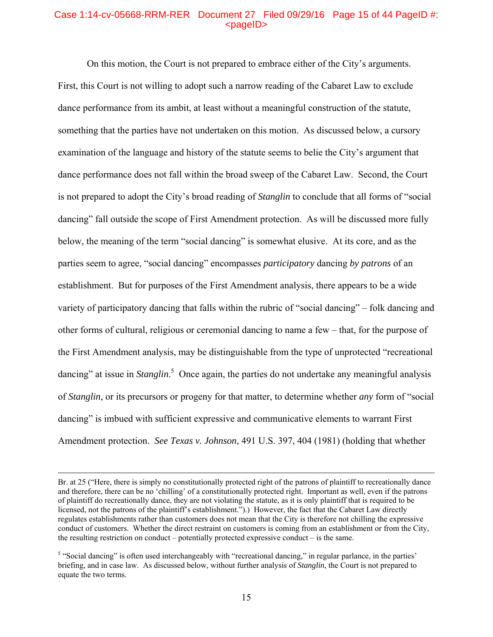## Case 1:14-cv-05668-RRM-RER Document 27 Filed 09/29/16 Page 15 of 44 PageID #:  $<sub>pa</sub>$  $<sub>o</sub>$ </sub></sub>

On this motion, the Court is not prepared to embrace either of the City's arguments. First, this Court is not willing to adopt such a narrow reading of the Cabaret Law to exclude dance performance from its ambit, at least without a meaningful construction of the statute, something that the parties have not undertaken on this motion. As discussed below, a cursory examination of the language and history of the statute seems to belie the City's argument that dance performance does not fall within the broad sweep of the Cabaret Law. Second, the Court is not prepared to adopt the City's broad reading of *Stanglin* to conclude that all forms of "social dancing" fall outside the scope of First Amendment protection. As will be discussed more fully below, the meaning of the term "social dancing" is somewhat elusive. At its core, and as the parties seem to agree, "social dancing" encompasses *participatory* dancing *by patrons* of an establishment. But for purposes of the First Amendment analysis, there appears to be a wide variety of participatory dancing that falls within the rubric of "social dancing" – folk dancing and other forms of cultural, religious or ceremonial dancing to name a few – that, for the purpose of the First Amendment analysis, may be distinguishable from the type of unprotected "recreational dancing" at issue in *Stanglin*.<sup>5</sup> Once again, the parties do not undertake any meaningful analysis of *Stanglin*, or its precursors or progeny for that matter, to determine whether *any* form of "social dancing" is imbued with sufficient expressive and communicative elements to warrant First Amendment protection. *See Texas v. Johnson*, 491 U.S. 397, 404 (1981) (holding that whether

Br. at 25 ("Here, there is simply no constitutionally protected right of the patrons of plaintiff to recreationally dance and therefore, there can be no 'chilling' of a constitutionally protected right. Important as well, even if the patrons of plaintiff do recreationally dance, they are not violating the statute, as it is only plaintiff that is required to be licensed, not the patrons of the plaintiff's establishment.").) However, the fact that the Cabaret Law directly regulates establishments rather than customers does not mean that the City is therefore not chilling the expressive conduct of customers. Whether the direct restraint on customers is coming from an establishment or from the City, the resulting restriction on conduct – potentially protected expressive conduct – is the same.

<sup>&</sup>lt;sup>5</sup> "Social dancing" is often used interchangeably with "recreational dancing," in regular parlance, in the parties' briefing, and in case law. As discussed below, without further analysis of *Stanglin*, the Court is not prepared to equate the two terms.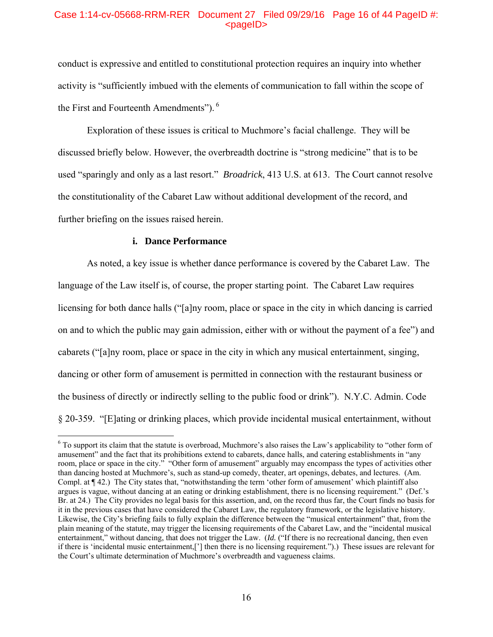## Case 1:14-cv-05668-RRM-RER Document 27 Filed 09/29/16 Page 16 of 44 PageID #:  $<sub>pa</sub>$  $<sub>o</sub>$ </sub></sub>

conduct is expressive and entitled to constitutional protection requires an inquiry into whether activity is "sufficiently imbued with the elements of communication to fall within the scope of the First and Fourteenth Amendments"). 6

Exploration of these issues is critical to Muchmore's facial challenge. They will be discussed briefly below. However, the overbreadth doctrine is "strong medicine" that is to be used "sparingly and only as a last resort." *Broadrick*, 413 U.S. at 613. The Court cannot resolve the constitutionality of the Cabaret Law without additional development of the record, and further briefing on the issues raised herein.

### **i. Dance Performance**

 $\overline{a}$ 

As noted, a key issue is whether dance performance is covered by the Cabaret Law. The language of the Law itself is, of course, the proper starting point. The Cabaret Law requires licensing for both dance halls ("[a]ny room, place or space in the city in which dancing is carried on and to which the public may gain admission, either with or without the payment of a fee") and cabarets ("[a]ny room, place or space in the city in which any musical entertainment, singing, dancing or other form of amusement is permitted in connection with the restaurant business or the business of directly or indirectly selling to the public food or drink"). N.Y.C. Admin. Code § 20-359. "[E]ating or drinking places, which provide incidental musical entertainment, without

 $6$  To support its claim that the statute is overbroad, Muchmore's also raises the Law's applicability to "other form of amusement" and the fact that its prohibitions extend to cabarets, dance halls, and catering establishments in "any room, place or space in the city." "Other form of amusement" arguably may encompass the types of activities other than dancing hosted at Muchmore's, such as stand-up comedy, theater, art openings, debates, and lectures. (Am. Compl. at ¶ 42.) The City states that, "notwithstanding the term 'other form of amusement' which plaintiff also argues is vague, without dancing at an eating or drinking establishment, there is no licensing requirement." (Def.'s Br. at 24.) The City provides no legal basis for this assertion, and, on the record thus far, the Court finds no basis for it in the previous cases that have considered the Cabaret Law, the regulatory framework, or the legislative history. Likewise, the City's briefing fails to fully explain the difference between the "musical entertainment" that, from the plain meaning of the statute, may trigger the licensing requirements of the Cabaret Law, and the "incidental musical entertainment," without dancing, that does not trigger the Law. (*Id.* ("If there is no recreational dancing, then even if there is 'incidental music entertainment,['] then there is no licensing requirement.").) These issues are relevant for the Court's ultimate determination of Muchmore's overbreadth and vagueness claims.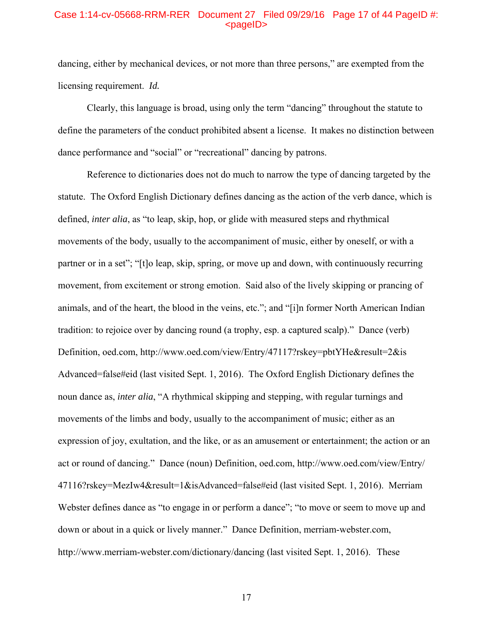## Case 1:14-cv-05668-RRM-RER Document 27 Filed 09/29/16 Page 17 of 44 PageID #: <pageID>

dancing, either by mechanical devices, or not more than three persons," are exempted from the licensing requirement. *Id.*

 Clearly, this language is broad, using only the term "dancing" throughout the statute to define the parameters of the conduct prohibited absent a license. It makes no distinction between dance performance and "social" or "recreational" dancing by patrons.

 Reference to dictionaries does not do much to narrow the type of dancing targeted by the statute. The Oxford English Dictionary defines dancing as the action of the verb dance, which is defined, *inter alia*, as "to leap, skip, hop, or glide with measured steps and rhythmical movements of the body, usually to the accompaniment of music, either by oneself, or with a partner or in a set"; "[t]o leap, skip, spring, or move up and down, with continuously recurring movement, from excitement or strong emotion. Said also of the lively skipping or prancing of animals, and of the heart, the blood in the veins, etc."; and "[i]n former North American Indian tradition: to rejoice over by dancing round (a trophy, esp. a captured scalp)." Dance (verb) Definition, oed.com, http://www.oed.com/view/Entry/47117?rskey=pbtYHe&result=2&is Advanced=false#eid (last visited Sept. 1, 2016). The Oxford English Dictionary defines the noun dance as, *inter alia*, "A rhythmical skipping and stepping, with regular turnings and movements of the limbs and body, usually to the accompaniment of music; either as an expression of joy, exultation, and the like, or as an amusement or entertainment; the action or an act or round of dancing." Dance (noun) Definition, oed.com, http://www.oed.com/view/Entry/ 47116?rskey=MezIw4&result=1&isAdvanced=false#eid (last visited Sept. 1, 2016). Merriam Webster defines dance as "to engage in or perform a dance"; "to move or seem to move up and down or about in a quick or lively manner." Dance Definition, merriam-webster.com, http://www.merriam-webster.com/dictionary/dancing (last visited Sept. 1, 2016). These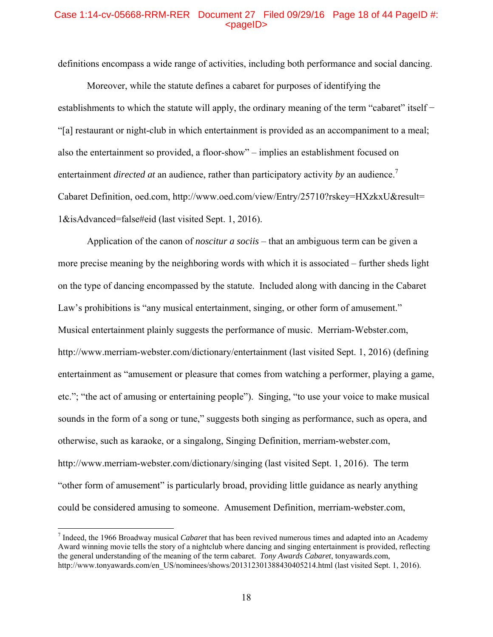## Case 1:14-cv-05668-RRM-RER Document 27 Filed 09/29/16 Page 18 of 44 PageID #:  $<sub>pa</sub>$  $<sub>o</sub>$ </sub></sub>

definitions encompass a wide range of activities, including both performance and social dancing.

 Moreover, while the statute defines a cabaret for purposes of identifying the establishments to which the statute will apply, the ordinary meaning of the term "cabaret" itself − "[a] restaurant or night-club in which entertainment is provided as an accompaniment to a meal; also the entertainment so provided, a floor-show" – implies an establishment focused on entertainment *directed at* an audience, rather than participatory activity *by* an audience.<sup>7</sup> Cabaret Definition, oed.com, http://www.oed.com/view/Entry/25710?rskey=HXzkxU&result= 1&isAdvanced=false#eid (last visited Sept. 1, 2016).

Application of the canon of *noscitur a sociis* – that an ambiguous term can be given a more precise meaning by the neighboring words with which it is associated – further sheds light on the type of dancing encompassed by the statute. Included along with dancing in the Cabaret Law's prohibitions is "any musical entertainment, singing, or other form of amusement." Musical entertainment plainly suggests the performance of music. Merriam-Webster.com, http://www.merriam-webster.com/dictionary/entertainment (last visited Sept. 1, 2016) (defining entertainment as "amusement or pleasure that comes from watching a performer, playing a game, etc."; "the act of amusing or entertaining people"). Singing, "to use your voice to make musical sounds in the form of a song or tune," suggests both singing as performance, such as opera, and otherwise, such as karaoke, or a singalong, Singing Definition, merriam-webster.com, http://www.merriam-webster.com/dictionary/singing (last visited Sept. 1, 2016). The term "other form of amusement" is particularly broad, providing little guidance as nearly anything could be considered amusing to someone. Amusement Definition, merriam-webster.com,

<sup>7</sup> Indeed, the 1966 Broadway musical *Cabaret* that has been revived numerous times and adapted into an Academy Award winning movie tells the story of a nightclub where dancing and singing entertainment is provided, reflecting the general understanding of the meaning of the term cabaret. *Tony Awards Cabaret*, tonyawards.com, http://www.tonyawards.com/en\_US/nominees/shows/201312301388430405214.html (last visited Sept. 1, 2016).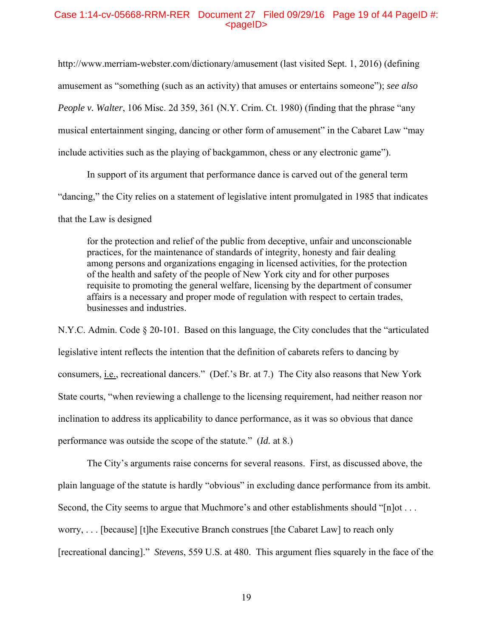## Case 1:14-cv-05668-RRM-RER Document 27 Filed 09/29/16 Page 19 of 44 PageID #: <pageID>

http://www.merriam-webster.com/dictionary/amusement (last visited Sept. 1, 2016) (defining amusement as "something (such as an activity) that amuses or entertains someone"); *see also People v. Walter*, 106 Misc. 2d 359, 361 (N.Y. Crim. Ct. 1980) (finding that the phrase "any musical entertainment singing, dancing or other form of amusement" in the Cabaret Law "may include activities such as the playing of backgammon, chess or any electronic game").

In support of its argument that performance dance is carved out of the general term "dancing," the City relies on a statement of legislative intent promulgated in 1985 that indicates that the Law is designed

for the protection and relief of the public from deceptive, unfair and unconscionable practices, for the maintenance of standards of integrity, honesty and fair dealing among persons and organizations engaging in licensed activities, for the protection of the health and safety of the people of New York city and for other purposes requisite to promoting the general welfare, licensing by the department of consumer affairs is a necessary and proper mode of regulation with respect to certain trades, businesses and industries.

N.Y.C. Admin. Code § 20-101. Based on this language, the City concludes that the "articulated legislative intent reflects the intention that the definition of cabarets refers to dancing by consumers, i.e., recreational dancers." (Def.'s Br. at 7.) The City also reasons that New York State courts, "when reviewing a challenge to the licensing requirement, had neither reason nor inclination to address its applicability to dance performance, as it was so obvious that dance performance was outside the scope of the statute." (*Id.* at 8.)

 The City's arguments raise concerns for several reasons. First, as discussed above, the plain language of the statute is hardly "obvious" in excluding dance performance from its ambit. Second, the City seems to argue that Muchmore's and other establishments should "[n]ot . . . worry, . . . [because] [t]he Executive Branch construes [the Cabaret Law] to reach only [recreational dancing]." *Stevens*, 559 U.S. at 480. This argument flies squarely in the face of the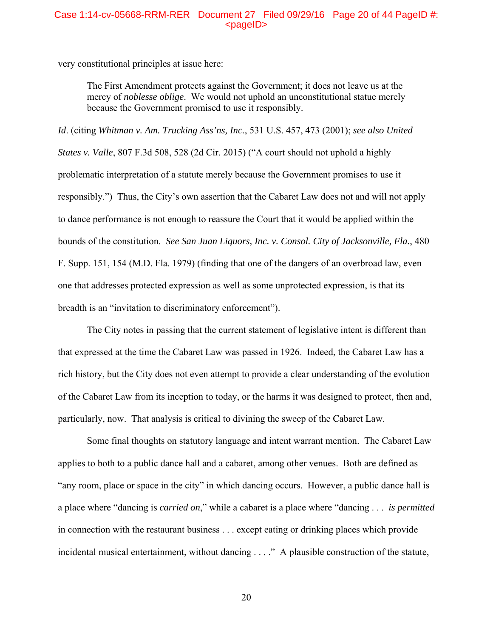## Case 1:14-cv-05668-RRM-RER Document 27 Filed 09/29/16 Page 20 of 44 PageID #:  $<sub>pa</sub>$  $<sub>o</sub>$ </sub></sub>

very constitutional principles at issue here:

The First Amendment protects against the Government; it does not leave us at the mercy of *noblesse oblige*. We would not uphold an unconstitutional statue merely because the Government promised to use it responsibly.

*Id*. (citing *Whitman v. Am. Trucking Ass'ns, Inc.*, 531 U.S. 457, 473 (2001); *see also United States v. Valle*, 807 F.3d 508, 528 (2d Cir. 2015) ("A court should not uphold a highly problematic interpretation of a statute merely because the Government promises to use it responsibly.") Thus, the City's own assertion that the Cabaret Law does not and will not apply to dance performance is not enough to reassure the Court that it would be applied within the bounds of the constitution. *See San Juan Liquors, Inc. v. Consol. City of Jacksonville, Fla.*, 480 F. Supp. 151, 154 (M.D. Fla. 1979) (finding that one of the dangers of an overbroad law, even one that addresses protected expression as well as some unprotected expression, is that its breadth is an "invitation to discriminatory enforcement").

 The City notes in passing that the current statement of legislative intent is different than that expressed at the time the Cabaret Law was passed in 1926. Indeed, the Cabaret Law has a rich history, but the City does not even attempt to provide a clear understanding of the evolution of the Cabaret Law from its inception to today, or the harms it was designed to protect, then and, particularly, now. That analysis is critical to divining the sweep of the Cabaret Law.

 Some final thoughts on statutory language and intent warrant mention. The Cabaret Law applies to both to a public dance hall and a cabaret, among other venues. Both are defined as "any room, place or space in the city" in which dancing occurs. However, a public dance hall is a place where "dancing is *carried on*," while a cabaret is a place where "dancing . . . *is permitted*  in connection with the restaurant business . . . except eating or drinking places which provide incidental musical entertainment, without dancing . . . ." A plausible construction of the statute,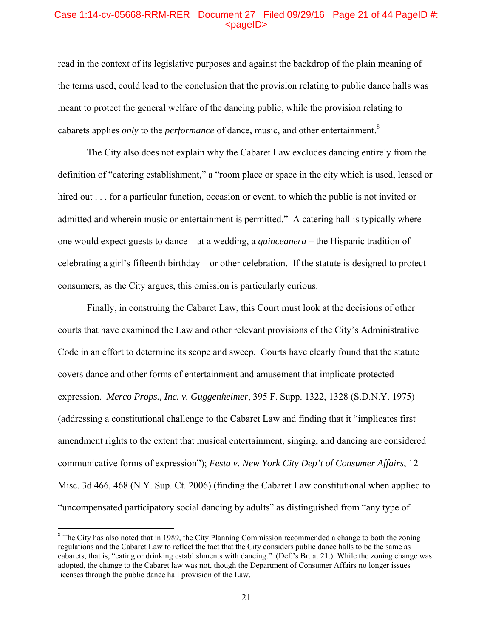## Case 1:14-cv-05668-RRM-RER Document 27 Filed 09/29/16 Page 21 of 44 PageID #:  $<sub>pa</sub>$  $<sub>o</sub>$ </sub></sub>

read in the context of its legislative purposes and against the backdrop of the plain meaning of the terms used, could lead to the conclusion that the provision relating to public dance halls was meant to protect the general welfare of the dancing public, while the provision relating to cabarets applies *only* to the *performance* of dance, music, and other entertainment.8

 The City also does not explain why the Cabaret Law excludes dancing entirely from the definition of "catering establishment," a "room place or space in the city which is used, leased or hired out . . . for a particular function, occasion or event, to which the public is not invited or admitted and wherein music or entertainment is permitted." A catering hall is typically where one would expect guests to dance – at a wedding, a *quinceanera* **–** the Hispanic tradition of celebrating a girl's fifteenth birthday – or other celebration. If the statute is designed to protect consumers, as the City argues, this omission is particularly curious.

 Finally, in construing the Cabaret Law, this Court must look at the decisions of other courts that have examined the Law and other relevant provisions of the City's Administrative Code in an effort to determine its scope and sweep. Courts have clearly found that the statute covers dance and other forms of entertainment and amusement that implicate protected expression. *Merco Props., Inc. v. Guggenheimer*, 395 F. Supp. 1322, 1328 (S.D.N.Y. 1975) (addressing a constitutional challenge to the Cabaret Law and finding that it "implicates first amendment rights to the extent that musical entertainment, singing, and dancing are considered communicative forms of expression"); *Festa v. New York City Dep't of Consumer Affairs*, 12 Misc. 3d 466, 468 (N.Y. Sup. Ct. 2006) (finding the Cabaret Law constitutional when applied to "uncompensated participatory social dancing by adults" as distinguished from "any type of

<sup>&</sup>lt;sup>8</sup> The City has also noted that in 1989, the City Planning Commission recommended a change to both the zoning regulations and the Cabaret Law to reflect the fact that the City considers public dance halls to be the same as cabarets, that is, "eating or drinking establishments with dancing." (Def.'s Br. at 21.) While the zoning change was adopted, the change to the Cabaret law was not, though the Department of Consumer Affairs no longer issues licenses through the public dance hall provision of the Law.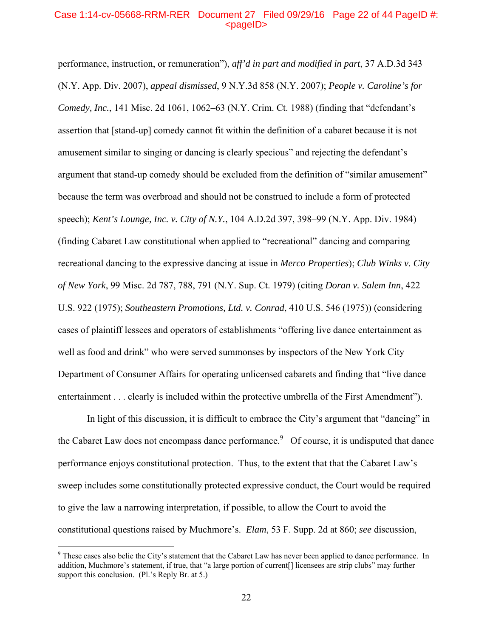## Case 1:14-cv-05668-RRM-RER Document 27 Filed 09/29/16 Page 22 of 44 PageID #:  $<sub>pa</sub>$  $<sub>o</sub>$ </sub></sub>

performance, instruction, or remuneration"), *aff'd in part and modified in part*, 37 A.D.3d 343 (N.Y. App. Div. 2007), *appeal dismissed*, 9 N.Y.3d 858 (N.Y. 2007); *People v. Caroline's for Comedy, Inc.*, 141 Misc. 2d 1061, 1062–63 (N.Y. Crim. Ct. 1988) (finding that "defendant's assertion that [stand-up] comedy cannot fit within the definition of a cabaret because it is not amusement similar to singing or dancing is clearly specious" and rejecting the defendant's argument that stand-up comedy should be excluded from the definition of "similar amusement" because the term was overbroad and should not be construed to include a form of protected speech); *Kent's Lounge, Inc. v. City of N.Y.*, 104 A.D.2d 397, 398–99 (N.Y. App. Div. 1984) (finding Cabaret Law constitutional when applied to "recreational" dancing and comparing recreational dancing to the expressive dancing at issue in *Merco Properties*); *Club Winks v. City of New York*, 99 Misc. 2d 787, 788, 791 (N.Y. Sup. Ct. 1979) (citing *Doran v. Salem Inn*, 422 U.S. 922 (1975); *Southeastern Promotions, Ltd. v. Conrad*, 410 U.S. 546 (1975)) (considering cases of plaintiff lessees and operators of establishments "offering live dance entertainment as well as food and drink" who were served summonses by inspectors of the New York City Department of Consumer Affairs for operating unlicensed cabarets and finding that "live dance entertainment . . . clearly is included within the protective umbrella of the First Amendment").

 In light of this discussion, it is difficult to embrace the City's argument that "dancing" in the Cabaret Law does not encompass dance performance.<sup>9</sup> Of course, it is undisputed that dance performance enjoys constitutional protection. Thus, to the extent that that the Cabaret Law's sweep includes some constitutionally protected expressive conduct, the Court would be required to give the law a narrowing interpretation, if possible, to allow the Court to avoid the constitutional questions raised by Muchmore's. *Elam*, 53 F. Supp. 2d at 860; *see* discussion,

<sup>&</sup>lt;sup>9</sup> These cases also belie the City's statement that the Cabaret Law has never been applied to dance performance. In addition, Muchmore's statement, if true, that "a large portion of current[] licensees are strip clubs" may further support this conclusion. (Pl.'s Reply Br. at 5.)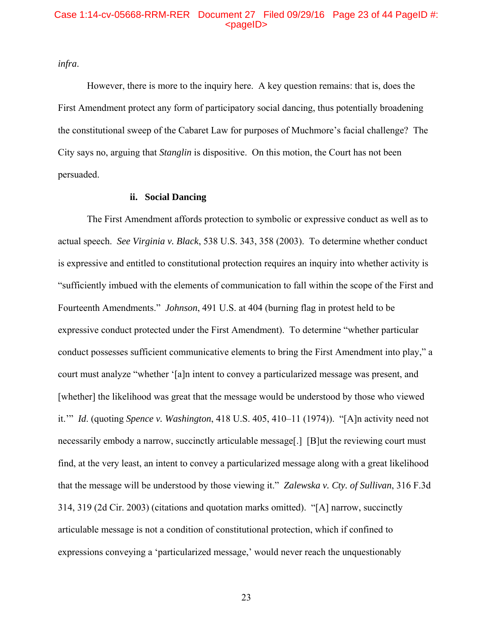### Case 1:14-cv-05668-RRM-RER Document 27 Filed 09/29/16 Page 23 of 44 PageID #: <pageID>

*infra*.

However, there is more to the inquiry here. A key question remains: that is, does the First Amendment protect any form of participatory social dancing, thus potentially broadening the constitutional sweep of the Cabaret Law for purposes of Muchmore's facial challenge? The City says no, arguing that *Stanglin* is dispositive. On this motion, the Court has not been persuaded.

## **ii. Social Dancing**

The First Amendment affords protection to symbolic or expressive conduct as well as to actual speech. *See Virginia v. Black*, 538 U.S. 343, 358 (2003). To determine whether conduct is expressive and entitled to constitutional protection requires an inquiry into whether activity is "sufficiently imbued with the elements of communication to fall within the scope of the First and Fourteenth Amendments." *Johnson*, 491 U.S. at 404 (burning flag in protest held to be expressive conduct protected under the First Amendment). To determine "whether particular conduct possesses sufficient communicative elements to bring the First Amendment into play," a court must analyze "whether '[a]n intent to convey a particularized message was present, and [whether] the likelihood was great that the message would be understood by those who viewed it.'" *Id*. (quoting *Spence v. Washington*, 418 U.S. 405, 410–11 (1974)). "[A]n activity need not necessarily embody a narrow, succinctly articulable message[.] [B]ut the reviewing court must find, at the very least, an intent to convey a particularized message along with a great likelihood that the message will be understood by those viewing it." *Zalewska v. Cty. of Sullivan*, 316 F.3d 314, 319 (2d Cir. 2003) (citations and quotation marks omitted). "[A] narrow, succinctly articulable message is not a condition of constitutional protection, which if confined to expressions conveying a 'particularized message,' would never reach the unquestionably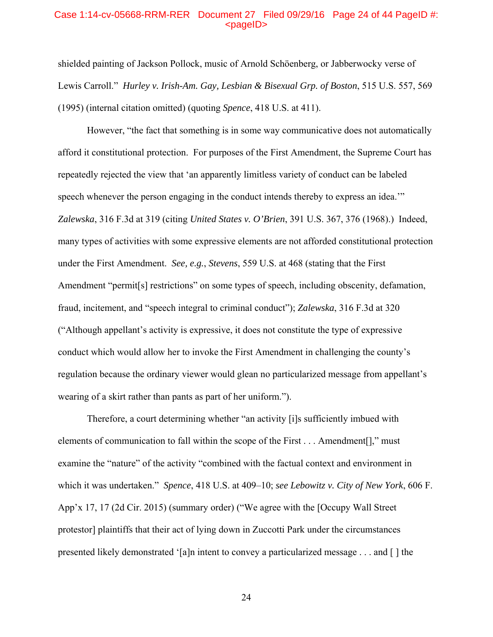#### Case 1:14-cv-05668-RRM-RER Document 27 Filed 09/29/16 Page 24 of 44 PageID #: <pageID>

shielded painting of Jackson Pollock, music of Arnold Schöenberg, or Jabberwocky verse of Lewis Carroll." *Hurley v. Irish-Am. Gay, Lesbian & Bisexual Grp. of Boston*, 515 U.S. 557, 569 (1995) (internal citation omitted) (quoting *Spence*, 418 U.S. at 411).

However, "the fact that something is in some way communicative does not automatically afford it constitutional protection. For purposes of the First Amendment, the Supreme Court has repeatedly rejected the view that 'an apparently limitless variety of conduct can be labeled speech whenever the person engaging in the conduct intends thereby to express an idea.'" *Zalewska*, 316 F.3d at 319 (citing *United States v. O'Brien*, 391 U.S. 367, 376 (1968).) Indeed, many types of activities with some expressive elements are not afforded constitutional protection under the First Amendment. *See, e.g.*, *Stevens*, 559 U.S. at 468 (stating that the First Amendment "permit[s] restrictions" on some types of speech, including obscenity, defamation, fraud, incitement, and "speech integral to criminal conduct"); *Zalewska*, 316 F.3d at 320 ("Although appellant's activity is expressive, it does not constitute the type of expressive conduct which would allow her to invoke the First Amendment in challenging the county's regulation because the ordinary viewer would glean no particularized message from appellant's wearing of a skirt rather than pants as part of her uniform.").

Therefore, a court determining whether "an activity [i]s sufficiently imbued with elements of communication to fall within the scope of the First . . . Amendment[]," must examine the "nature" of the activity "combined with the factual context and environment in which it was undertaken." *Spence*, 418 U.S. at 409–10; *see Lebowitz v. City of New York*, 606 F. App'x 17, 17 (2d Cir. 2015) (summary order) ("We agree with the [Occupy Wall Street protestor] plaintiffs that their act of lying down in Zuccotti Park under the circumstances presented likely demonstrated '[a]n intent to convey a particularized message . . . and [ ] the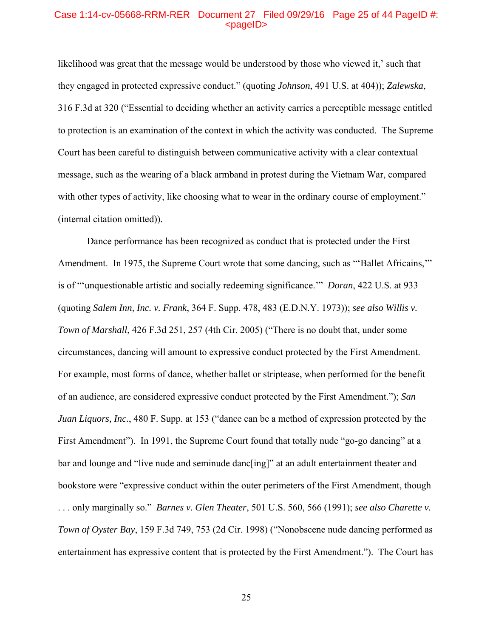## Case 1:14-cv-05668-RRM-RER Document 27 Filed 09/29/16 Page 25 of 44 PageID #: <pageID>

likelihood was great that the message would be understood by those who viewed it,' such that they engaged in protected expressive conduct." (quoting *Johnson*, 491 U.S. at 404)); *Zalewska*, 316 F.3d at 320 ("Essential to deciding whether an activity carries a perceptible message entitled to protection is an examination of the context in which the activity was conducted. The Supreme Court has been careful to distinguish between communicative activity with a clear contextual message, such as the wearing of a black armband in protest during the Vietnam War, compared with other types of activity, like choosing what to wear in the ordinary course of employment." (internal citation omitted)).

Dance performance has been recognized as conduct that is protected under the First Amendment. In 1975, the Supreme Court wrote that some dancing, such as "Ballet Africains," is of "'unquestionable artistic and socially redeeming significance.'" *Doran*, 422 U.S. at 933 (quoting *Salem Inn, Inc. v. Frank*, 364 F. Supp. 478, 483 (E.D.N.Y. 1973)); *see also Willis v. Town of Marshall*, 426 F.3d 251, 257 (4th Cir. 2005) ("There is no doubt that, under some circumstances, dancing will amount to expressive conduct protected by the First Amendment. For example, most forms of dance, whether ballet or striptease, when performed for the benefit of an audience, are considered expressive conduct protected by the First Amendment."); *San Juan Liquors, Inc.*, 480 F. Supp. at 153 ("dance can be a method of expression protected by the First Amendment"). In 1991, the Supreme Court found that totally nude "go-go dancing" at a bar and lounge and "live nude and seminude danc[ing]" at an adult entertainment theater and bookstore were "expressive conduct within the outer perimeters of the First Amendment, though . . . only marginally so." *Barnes v. Glen Theater*, 501 U.S. 560, 566 (1991); *see also Charette v. Town of Oyster Bay*, 159 F.3d 749, 753 (2d Cir. 1998) ("Nonobscene nude dancing performed as entertainment has expressive content that is protected by the First Amendment."). The Court has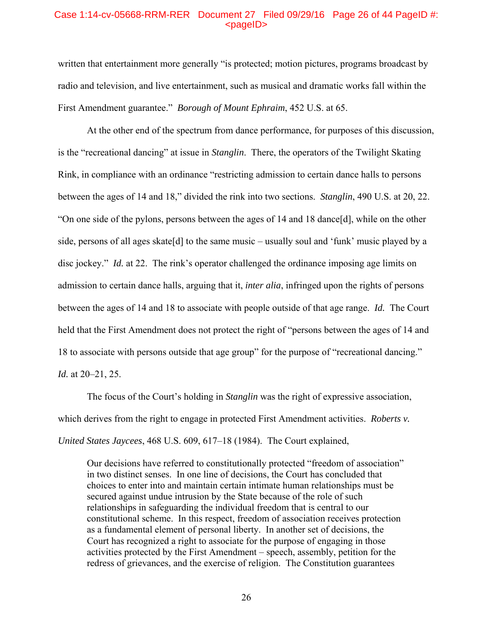### Case 1:14-cv-05668-RRM-RER Document 27 Filed 09/29/16 Page 26 of 44 PageID #:  $<$ pageID $>$

written that entertainment more generally "is protected; motion pictures, programs broadcast by radio and television, and live entertainment, such as musical and dramatic works fall within the First Amendment guarantee." *Borough of Mount Ephraim*, 452 U.S. at 65.

At the other end of the spectrum from dance performance, for purposes of this discussion, is the "recreational dancing" at issue in *Stanglin*. There, the operators of the Twilight Skating Rink, in compliance with an ordinance "restricting admission to certain dance halls to persons between the ages of 14 and 18," divided the rink into two sections. *Stanglin*, 490 U.S. at 20, 22. "On one side of the pylons, persons between the ages of 14 and 18 dance[d], while on the other side, persons of all ages skate[d] to the same music – usually soul and 'funk' music played by a disc jockey." *Id.* at 22. The rink's operator challenged the ordinance imposing age limits on admission to certain dance halls, arguing that it, *inter alia*, infringed upon the rights of persons between the ages of 14 and 18 to associate with people outside of that age range. *Id.* The Court held that the First Amendment does not protect the right of "persons between the ages of 14 and 18 to associate with persons outside that age group" for the purpose of "recreational dancing." *Id.* at 20–21, 25.

The focus of the Court's holding in *Stanglin* was the right of expressive association, which derives from the right to engage in protected First Amendment activities. *Roberts v. United States Jaycees*, 468 U.S. 609, 617–18 (1984). The Court explained,

Our decisions have referred to constitutionally protected "freedom of association" in two distinct senses. In one line of decisions, the Court has concluded that choices to enter into and maintain certain intimate human relationships must be secured against undue intrusion by the State because of the role of such relationships in safeguarding the individual freedom that is central to our constitutional scheme. In this respect, freedom of association receives protection as a fundamental element of personal liberty. In another set of decisions, the Court has recognized a right to associate for the purpose of engaging in those activities protected by the First Amendment – speech, assembly, petition for the redress of grievances, and the exercise of religion. The Constitution guarantees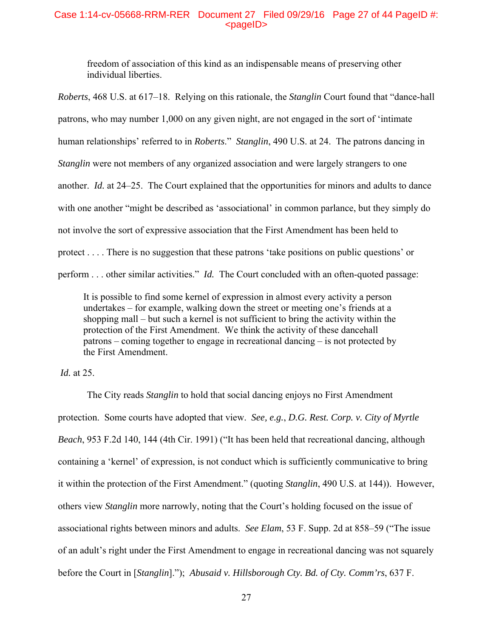## Case 1:14-cv-05668-RRM-RER Document 27 Filed 09/29/16 Page 27 of 44 PageID #:  $<sub>pa</sub>$  $<sub>o</sub>$ </sub></sub>

freedom of association of this kind as an indispensable means of preserving other individual liberties.

*Roberts*, 468 U.S. at 617–18. Relying on this rationale, the *Stanglin* Court found that "dance-hall patrons, who may number 1,000 on any given night, are not engaged in the sort of 'intimate human relationships' referred to in *Roberts*." *Stanglin*, 490 U.S. at 24. The patrons dancing in *Stanglin* were not members of any organized association and were largely strangers to one another. *Id.* at 24–25. The Court explained that the opportunities for minors and adults to dance with one another "might be described as 'associational' in common parlance, but they simply do not involve the sort of expressive association that the First Amendment has been held to protect . . . . There is no suggestion that these patrons 'take positions on public questions' or perform . . . other similar activities." *Id.* The Court concluded with an often-quoted passage:

It is possible to find some kernel of expression in almost every activity a person undertakes – for example, walking down the street or meeting one's friends at a shopping mall – but such a kernel is not sufficient to bring the activity within the protection of the First Amendment. We think the activity of these dancehall patrons – coming together to engage in recreational dancing – is not protected by the First Amendment.

*Id.* at 25.

 The City reads *Stanglin* to hold that social dancing enjoys no First Amendment protection.Some courts have adopted that view. *See, e.g.*, *D.G. Rest. Corp. v. City of Myrtle Beach*, 953 F.2d 140, 144 (4th Cir. 1991) ("It has been held that recreational dancing, although containing a 'kernel' of expression, is not conduct which is sufficiently communicative to bring it within the protection of the First Amendment." (quoting *Stanglin*, 490 U.S. at 144)).However, others view *Stanglin* more narrowly, noting that the Court's holding focused on the issue of associational rights between minors and adults. *See Elam*, 53 F. Supp. 2d at 858–59 ("The issue of an adult's right under the First Amendment to engage in recreational dancing was not squarely before the Court in [*Stanglin*]."); *Abusaid v. Hillsborough Cty. Bd. of Cty. Comm'rs*, 637 F.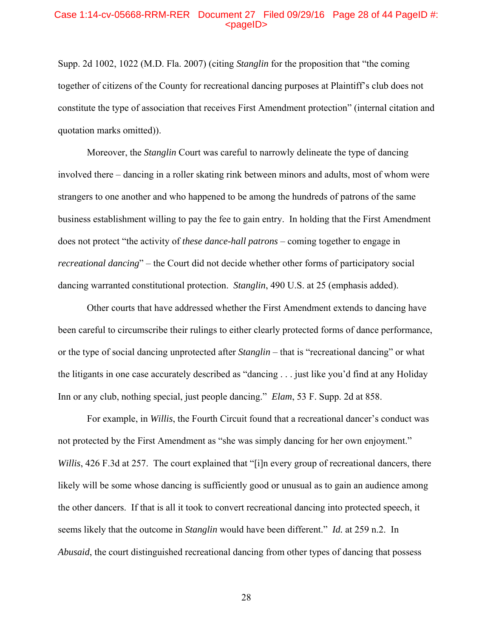#### Case 1:14-cv-05668-RRM-RER Document 27 Filed 09/29/16 Page 28 of 44 PageID #: <pageID>

Supp. 2d 1002, 1022 (M.D. Fla. 2007) (citing *Stanglin* for the proposition that "the coming together of citizens of the County for recreational dancing purposes at Plaintiff's club does not constitute the type of association that receives First Amendment protection" (internal citation and quotation marks omitted)).

Moreover, the *Stanglin* Court was careful to narrowly delineate the type of dancing involved there – dancing in a roller skating rink between minors and adults, most of whom were strangers to one another and who happened to be among the hundreds of patrons of the same business establishment willing to pay the fee to gain entry. In holding that the First Amendment does not protect "the activity of *these dance-hall patrons* – coming together to engage in *recreational dancing*" – the Court did not decide whether other forms of participatory social dancing warranted constitutional protection. *Stanglin*, 490 U.S. at 25 (emphasis added).

 Other courts that have addressed whether the First Amendment extends to dancing have been careful to circumscribe their rulings to either clearly protected forms of dance performance, or the type of social dancing unprotected after *Stanglin* – that is "recreational dancing" or what the litigants in one case accurately described as "dancing . . . just like you'd find at any Holiday Inn or any club, nothing special, just people dancing." *Elam*, 53 F. Supp. 2d at 858.

For example, in *Willis*, the Fourth Circuit found that a recreational dancer's conduct was not protected by the First Amendment as "she was simply dancing for her own enjoyment." *Willis*, 426 F.3d at 257. The court explained that "[i]n every group of recreational dancers, there likely will be some whose dancing is sufficiently good or unusual as to gain an audience among the other dancers. If that is all it took to convert recreational dancing into protected speech, it seems likely that the outcome in *Stanglin* would have been different." *Id.* at 259 n.2. In *Abusaid*, the court distinguished recreational dancing from other types of dancing that possess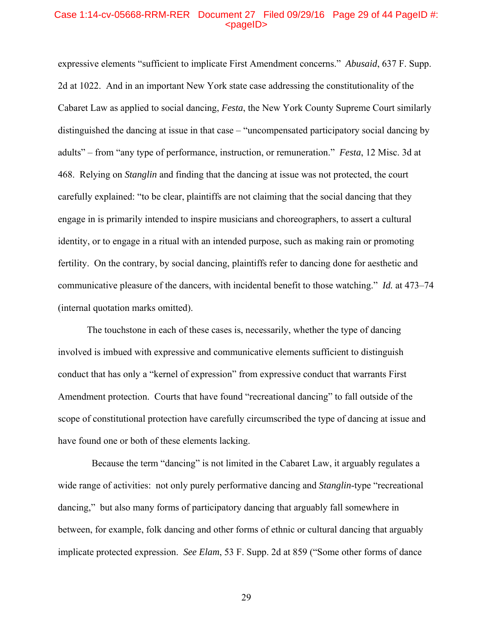### Case 1:14-cv-05668-RRM-RER Document 27 Filed 09/29/16 Page 29 of 44 PageID #: <pageID>

expressive elements "sufficient to implicate First Amendment concerns." *Abusaid*, 637 F. Supp. 2d at 1022. And in an important New York state case addressing the constitutionality of the Cabaret Law as applied to social dancing, *Festa*, the New York County Supreme Court similarly distinguished the dancing at issue in that case – "uncompensated participatory social dancing by adults" – from "any type of performance, instruction, or remuneration." *Festa*, 12 Misc. 3d at 468. Relying on *Stanglin* and finding that the dancing at issue was not protected, the court carefully explained: "to be clear, plaintiffs are not claiming that the social dancing that they engage in is primarily intended to inspire musicians and choreographers, to assert a cultural identity, or to engage in a ritual with an intended purpose, such as making rain or promoting fertility. On the contrary, by social dancing, plaintiffs refer to dancing done for aesthetic and communicative pleasure of the dancers, with incidental benefit to those watching." *Id.* at 473–74 (internal quotation marks omitted).

The touchstone in each of these cases is, necessarily, whether the type of dancing involved is imbued with expressive and communicative elements sufficient to distinguish conduct that has only a "kernel of expression" from expressive conduct that warrants First Amendment protection. Courts that have found "recreational dancing" to fall outside of the scope of constitutional protection have carefully circumscribed the type of dancing at issue and have found one or both of these elements lacking.

 Because the term "dancing" is not limited in the Cabaret Law, it arguably regulates a wide range of activities: not only purely performative dancing and *Stanglin*-type "recreational dancing," but also many forms of participatory dancing that arguably fall somewhere in between, for example, folk dancing and other forms of ethnic or cultural dancing that arguably implicate protected expression. *See Elam*, 53 F. Supp. 2d at 859 ("Some other forms of dance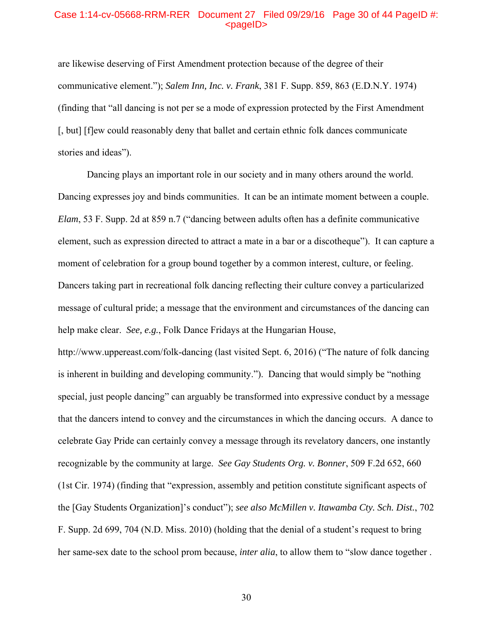#### Case 1:14-cv-05668-RRM-RER Document 27 Filed 09/29/16 Page 30 of 44 PageID #: <pageID>

are likewise deserving of First Amendment protection because of the degree of their communicative element."); *Salem Inn, Inc. v. Frank*, 381 F. Supp. 859, 863 (E.D.N.Y. 1974) (finding that "all dancing is not per se a mode of expression protected by the First Amendment [, but] [f]ew could reasonably deny that ballet and certain ethnic folk dances communicate stories and ideas").

 Dancing plays an important role in our society and in many others around the world. Dancing expresses joy and binds communities. It can be an intimate moment between a couple. *Elam*, 53 F. Supp. 2d at 859 n.7 ("dancing between adults often has a definite communicative element, such as expression directed to attract a mate in a bar or a discotheque"). It can capture a moment of celebration for a group bound together by a common interest, culture, or feeling. Dancers taking part in recreational folk dancing reflecting their culture convey a particularized message of cultural pride; a message that the environment and circumstances of the dancing can help make clear. *See, e.g.*, Folk Dance Fridays at the Hungarian House,

http://www.uppereast.com/folk-dancing (last visited Sept. 6, 2016) ("The nature of folk dancing is inherent in building and developing community."). Dancing that would simply be "nothing special, just people dancing" can arguably be transformed into expressive conduct by a message that the dancers intend to convey and the circumstances in which the dancing occurs. A dance to celebrate Gay Pride can certainly convey a message through its revelatory dancers, one instantly recognizable by the community at large. *See Gay Students Org. v. Bonner*, 509 F.2d 652, 660 (1st Cir. 1974) (finding that "expression, assembly and petition constitute significant aspects of the [Gay Students Organization]'s conduct"); *see also McMillen v. Itawamba Cty. Sch. Dist.*, 702 F. Supp. 2d 699, 704 (N.D. Miss. 2010) (holding that the denial of a student's request to bring her same-sex date to the school prom because, *inter alia*, to allow them to "slow dance together .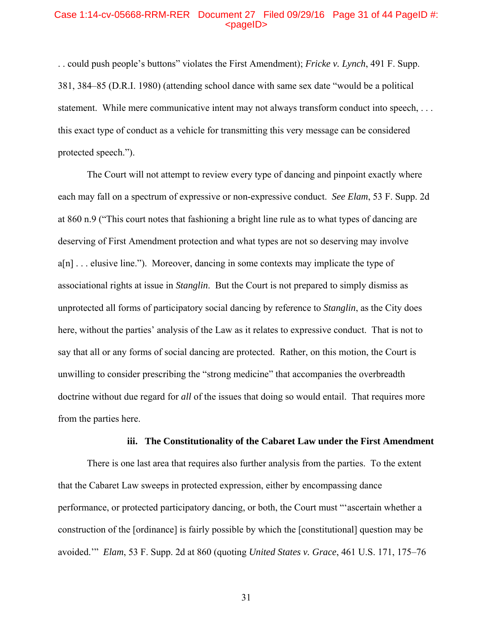#### Case 1:14-cv-05668-RRM-RER Document 27 Filed 09/29/16 Page 31 of 44 PageID #: <pageID>

. . could push people's buttons" violates the First Amendment); *Fricke v. Lynch*, 491 F. Supp. 381, 384–85 (D.R.I. 1980) (attending school dance with same sex date "would be a political statement. While mere communicative intent may not always transform conduct into speech, . . . this exact type of conduct as a vehicle for transmitting this very message can be considered protected speech.").

 The Court will not attempt to review every type of dancing and pinpoint exactly where each may fall on a spectrum of expressive or non-expressive conduct. *See Elam*, 53 F. Supp. 2d at 860 n.9 ("This court notes that fashioning a bright line rule as to what types of dancing are deserving of First Amendment protection and what types are not so deserving may involve a[n] . . . elusive line.").Moreover, dancing in some contexts may implicate the type of associational rights at issue in *Stanglin*. But the Court is not prepared to simply dismiss as unprotected all forms of participatory social dancing by reference to *Stanglin*, as the City does here, without the parties' analysis of the Law as it relates to expressive conduct. That is not to say that all or any forms of social dancing are protected. Rather, on this motion, the Court is unwilling to consider prescribing the "strong medicine" that accompanies the overbreadth doctrine without due regard for *all* of the issues that doing so would entail. That requires more from the parties here.

#### **iii. The Constitutionality of the Cabaret Law under the First Amendment**

There is one last area that requires also further analysis from the parties. To the extent that the Cabaret Law sweeps in protected expression, either by encompassing dance performance, or protected participatory dancing, or both, the Court must "'ascertain whether a construction of the [ordinance] is fairly possible by which the [constitutional] question may be avoided.'" *Elam*, 53 F. Supp. 2d at 860 (quoting *United States v. Grace*, 461 U.S. 171, 175–76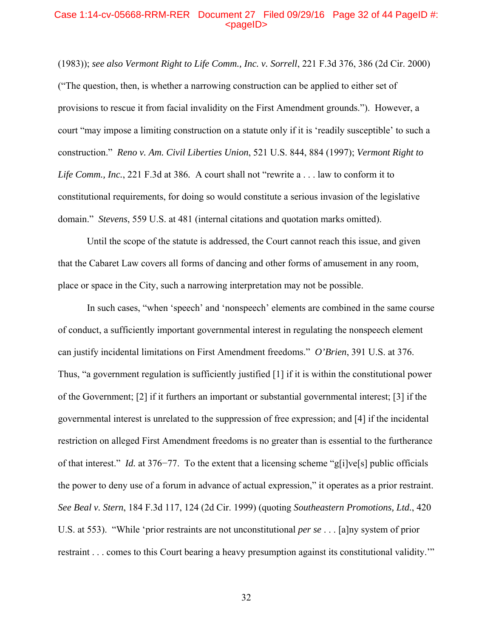## Case 1:14-cv-05668-RRM-RER Document 27 Filed 09/29/16 Page 32 of 44 PageID #: <pageID>

(1983)); *see also Vermont Right to Life Comm., Inc. v. Sorrell*, 221 F.3d 376, 386 (2d Cir. 2000) ("The question, then, is whether a narrowing construction can be applied to either set of provisions to rescue it from facial invalidity on the First Amendment grounds."). However, a court "may impose a limiting construction on a statute only if it is 'readily susceptible' to such a construction." *Reno v. Am. Civil Liberties Union*, 521 U.S. 844, 884 (1997); *Vermont Right to Life Comm., Inc.*, 221 F.3d at 386*.* A court shall not "rewrite a . . . law to conform it to constitutional requirements, for doing so would constitute a serious invasion of the legislative domain." *Stevens*, 559 U.S. at 481 (internal citations and quotation marks omitted).

Until the scope of the statute is addressed, the Court cannot reach this issue, and given that the Cabaret Law covers all forms of dancing and other forms of amusement in any room, place or space in the City, such a narrowing interpretation may not be possible.

In such cases, "when 'speech' and 'nonspeech' elements are combined in the same course of conduct, a sufficiently important governmental interest in regulating the nonspeech element can justify incidental limitations on First Amendment freedoms." *O'Brien*, 391 U.S. at 376. Thus, "a government regulation is sufficiently justified [1] if it is within the constitutional power of the Government; [2] if it furthers an important or substantial governmental interest; [3] if the governmental interest is unrelated to the suppression of free expression; and [4] if the incidental restriction on alleged First Amendment freedoms is no greater than is essential to the furtherance of that interest." *Id.* at 376−77. To the extent that a licensing scheme "g[i]ve[s] public officials the power to deny use of a forum in advance of actual expression," it operates as a prior restraint. *See Beal v. Stern*, 184 F.3d 117, 124 (2d Cir. 1999) (quoting *Southeastern Promotions, Ltd.*, 420 U.S. at 553). "While 'prior restraints are not unconstitutional *per se* . . . [a]ny system of prior restraint . . . comes to this Court bearing a heavy presumption against its constitutional validity.'"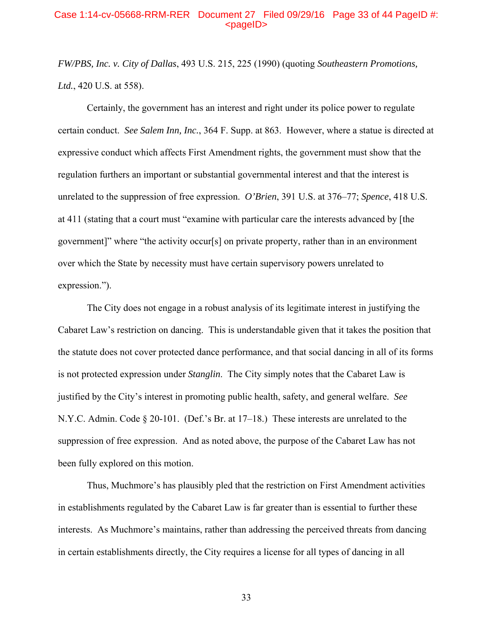### Case 1:14-cv-05668-RRM-RER Document 27 Filed 09/29/16 Page 33 of 44 PageID #:  $<sub>pa</sub>$  $<sub>o</sub>$ </sub></sub>

*FW/PBS, Inc. v. City of Dallas*, 493 U.S. 215, 225 (1990) (quoting *Southeastern Promotions, Ltd.*, 420 U.S. at 558).

 Certainly, the government has an interest and right under its police power to regulate certain conduct. *See Salem Inn, Inc.*, 364 F. Supp. at 863. However, where a statue is directed at expressive conduct which affects First Amendment rights, the government must show that the regulation furthers an important or substantial governmental interest and that the interest is unrelated to the suppression of free expression. *O'Brien*, 391 U.S. at 376–77; *Spence*, 418 U.S. at 411 (stating that a court must "examine with particular care the interests advanced by [the government]" where "the activity occur[s] on private property, rather than in an environment over which the State by necessity must have certain supervisory powers unrelated to expression.").

 The City does not engage in a robust analysis of its legitimate interest in justifying the Cabaret Law's restriction on dancing. This is understandable given that it takes the position that the statute does not cover protected dance performance, and that social dancing in all of its forms is not protected expression under *Stanglin*. The City simply notes that the Cabaret Law is justified by the City's interest in promoting public health, safety, and general welfare. *See*  N.Y.C. Admin. Code § 20-101. (Def.'s Br. at 17–18.) These interests are unrelated to the suppression of free expression. And as noted above, the purpose of the Cabaret Law has not been fully explored on this motion.

 Thus, Muchmore's has plausibly pled that the restriction on First Amendment activities in establishments regulated by the Cabaret Law is far greater than is essential to further these interests. As Muchmore's maintains, rather than addressing the perceived threats from dancing in certain establishments directly, the City requires a license for all types of dancing in all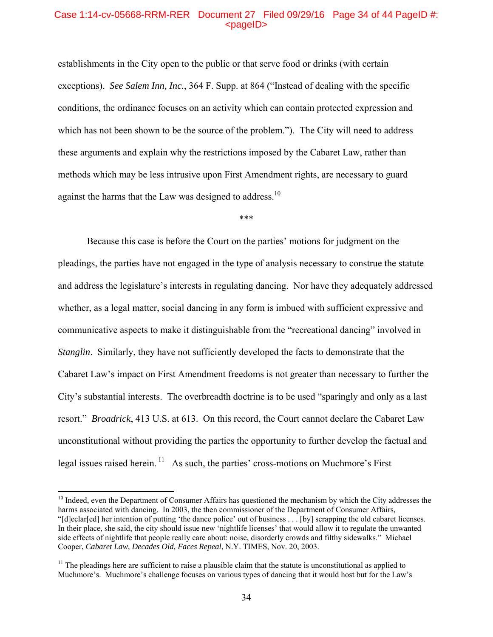### Case 1:14-cv-05668-RRM-RER Document 27 Filed 09/29/16 Page 34 of 44 PageID #:  $<sub>pa</sub>$  $<sub>o</sub>$ </sub></sub>

establishments in the City open to the public or that serve food or drinks (with certain exceptions). *See Salem Inn, Inc.*, 364 F. Supp. at 864 ("Instead of dealing with the specific conditions, the ordinance focuses on an activity which can contain protected expression and which has not been shown to be the source of the problem."). The City will need to address these arguments and explain why the restrictions imposed by the Cabaret Law, rather than methods which may be less intrusive upon First Amendment rights, are necessary to guard against the harms that the Law was designed to address.<sup>10</sup>

\*\*\*

Because this case is before the Court on the parties' motions for judgment on the pleadings, the parties have not engaged in the type of analysis necessary to construe the statute and address the legislature's interests in regulating dancing. Nor have they adequately addressed whether, as a legal matter, social dancing in any form is imbued with sufficient expressive and communicative aspects to make it distinguishable from the "recreational dancing" involved in *Stanglin*. Similarly, they have not sufficiently developed the facts to demonstrate that the Cabaret Law's impact on First Amendment freedoms is not greater than necessary to further the City's substantial interests. The overbreadth doctrine is to be used "sparingly and only as a last resort." *Broadrick*, 413 U.S. at 613. On this record, the Court cannot declare the Cabaret Law unconstitutional without providing the parties the opportunity to further develop the factual and legal issues raised herein.  $\frac{11}{1}$  As such, the parties' cross-motions on Muchmore's First

 $\overline{a}$ 

<sup>&</sup>lt;sup>10</sup> Indeed, even the Department of Consumer Affairs has questioned the mechanism by which the City addresses the harms associated with dancing. In 2003, the then commissioner of the Department of Consumer Affairs, "[d]eclar[ed] her intention of putting 'the dance police' out of business . . . [by] scrapping the old cabaret licenses. In their place, she said, the city should issue new 'nightlife licenses' that would allow it to regulate the unwanted side effects of nightlife that people really care about: noise, disorderly crowds and filthy sidewalks." Michael Cooper, *Cabaret Law, Decades Old, Faces Repeal*, N.Y. TIMES, Nov. 20, 2003.

 $11$  The pleadings here are sufficient to raise a plausible claim that the statute is unconstitutional as applied to Muchmore's. Muchmore's challenge focuses on various types of dancing that it would host but for the Law's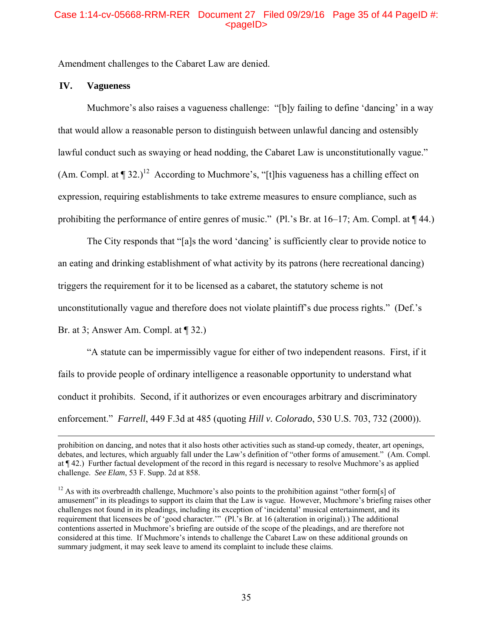# Case 1:14-cv-05668-RRM-RER Document 27 Filed 09/29/16 Page 35 of 44 PageID #:  $<sub>pa</sub>$  $<sub>o</sub>$ </sub></sub>

Amendment challenges to the Cabaret Law are denied.

## **IV. Vagueness**

Muchmore's also raises a vagueness challenge: "[b]y failing to define 'dancing' in a way that would allow a reasonable person to distinguish between unlawful dancing and ostensibly lawful conduct such as swaying or head nodding, the Cabaret Law is unconstitutionally vague." (Am. Compl. at  $\P$  32.)<sup>12</sup> According to Muchmore's, "[t]his vagueness has a chilling effect on expression, requiring establishments to take extreme measures to ensure compliance, such as prohibiting the performance of entire genres of music." (Pl.'s Br. at 16–17; Am. Compl. at ¶ 44.)

The City responds that "[a]s the word 'dancing' is sufficiently clear to provide notice to an eating and drinking establishment of what activity by its patrons (here recreational dancing) triggers the requirement for it to be licensed as a cabaret, the statutory scheme is not unconstitutionally vague and therefore does not violate plaintiff's due process rights." (Def.'s Br. at 3; Answer Am. Compl. at  $\P$  32.)

"A statute can be impermissibly vague for either of two independent reasons. First, if it fails to provide people of ordinary intelligence a reasonable opportunity to understand what conduct it prohibits. Second, if it authorizes or even encourages arbitrary and discriminatory enforcement." *Farrell*, 449 F.3d at 485 (quoting *Hill v. Colorado*, 530 U.S. 703, 732 (2000)).

prohibition on dancing, and notes that it also hosts other activities such as stand-up comedy, theater, art openings, debates, and lectures, which arguably fall under the Law's definition of "other forms of amusement." (Am. Compl. at ¶ 42.) Further factual development of the record in this regard is necessary to resolve Muchmore's as applied challenge. *See Elam*, 53 F. Supp. 2d at 858.

<sup>&</sup>lt;sup>12</sup> As with its overbreadth challenge, Muchmore's also points to the prohibition against "other form[s] of amusement" in its pleadings to support its claim that the Law is vague. However, Muchmore's briefing raises other challenges not found in its pleadings, including its exception of 'incidental' musical entertainment, and its requirement that licensees be of 'good character.'" (Pl.'s Br. at 16 (alteration in original).) The additional contentions asserted in Muchmore's briefing are outside of the scope of the pleadings, and are therefore not considered at this time. If Muchmore's intends to challenge the Cabaret Law on these additional grounds on summary judgment, it may seek leave to amend its complaint to include these claims.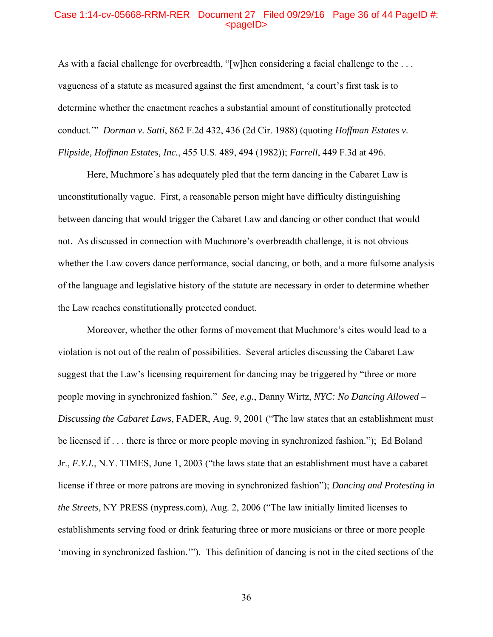### Case 1:14-cv-05668-RRM-RER Document 27 Filed 09/29/16 Page 36 of 44 PageID #: <pageID>

As with a facial challenge for overbreadth, "[w]hen considering a facial challenge to the ... vagueness of a statute as measured against the first amendment, 'a court's first task is to determine whether the enactment reaches a substantial amount of constitutionally protected conduct.'" *Dorman v. Satti*, 862 F.2d 432, 436 (2d Cir. 1988) (quoting *Hoffman Estates v. Flipside, Hoffman Estates, Inc.*, 455 U.S. 489, 494 (1982)); *Farrell*, 449 F.3d at 496.

Here, Muchmore's has adequately pled that the term dancing in the Cabaret Law is unconstitutionally vague. First, a reasonable person might have difficulty distinguishing between dancing that would trigger the Cabaret Law and dancing or other conduct that would not. As discussed in connection with Muchmore's overbreadth challenge, it is not obvious whether the Law covers dance performance, social dancing, or both, and a more fulsome analysis of the language and legislative history of the statute are necessary in order to determine whether the Law reaches constitutionally protected conduct.

Moreover, whether the other forms of movement that Muchmore's cites would lead to a violation is not out of the realm of possibilities. Several articles discussing the Cabaret Law suggest that the Law's licensing requirement for dancing may be triggered by "three or more people moving in synchronized fashion." *See, e.g.*, Danny Wirtz, *NYC: No Dancing Allowed – Discussing the Cabaret Laws*, FADER, Aug. 9, 2001 ("The law states that an establishment must be licensed if . . . there is three or more people moving in synchronized fashion."); Ed Boland Jr., *F.Y.I.*, N.Y. TIMES, June 1, 2003 ("the laws state that an establishment must have a cabaret license if three or more patrons are moving in synchronized fashion"); *Dancing and Protesting in the Streets*, NY PRESS (nypress.com), Aug. 2, 2006 ("The law initially limited licenses to establishments serving food or drink featuring three or more musicians or three or more people 'moving in synchronized fashion.'"). This definition of dancing is not in the cited sections of the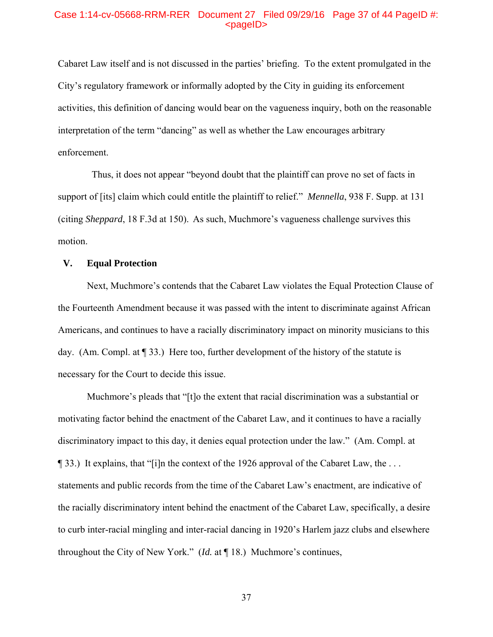## Case 1:14-cv-05668-RRM-RER Document 27 Filed 09/29/16 Page 37 of 44 PageID #: <pageID>

Cabaret Law itself and is not discussed in the parties' briefing. To the extent promulgated in the City's regulatory framework or informally adopted by the City in guiding its enforcement activities, this definition of dancing would bear on the vagueness inquiry, both on the reasonable interpretation of the term "dancing" as well as whether the Law encourages arbitrary enforcement.

 Thus, it does not appear "beyond doubt that the plaintiff can prove no set of facts in support of [its] claim which could entitle the plaintiff to relief." *Mennella*, 938 F. Supp. at 131 (citing *Sheppard*, 18 F.3d at 150). As such, Muchmore's vagueness challenge survives this motion.

## **V. Equal Protection**

Next, Muchmore's contends that the Cabaret Law violates the Equal Protection Clause of the Fourteenth Amendment because it was passed with the intent to discriminate against African Americans, and continues to have a racially discriminatory impact on minority musicians to this day. (Am. Compl. at ¶ 33.) Here too, further development of the history of the statute is necessary for the Court to decide this issue.

Muchmore's pleads that "[t]o the extent that racial discrimination was a substantial or motivating factor behind the enactment of the Cabaret Law, and it continues to have a racially discriminatory impact to this day, it denies equal protection under the law." (Am. Compl. at ¶ 33.) It explains, that "[i]n the context of the 1926 approval of the Cabaret Law, the . . . statements and public records from the time of the Cabaret Law's enactment, are indicative of the racially discriminatory intent behind the enactment of the Cabaret Law, specifically, a desire to curb inter-racial mingling and inter-racial dancing in 1920's Harlem jazz clubs and elsewhere throughout the City of New York." (*Id.* at ¶ 18.) Muchmore's continues,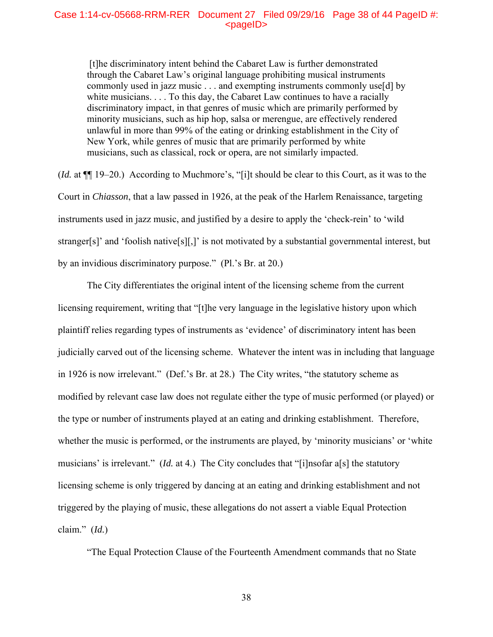### Case 1:14-cv-05668-RRM-RER Document 27 Filed 09/29/16 Page 38 of 44 PageID #:  $<$ pageID $>$

 [t]he discriminatory intent behind the Cabaret Law is further demonstrated through the Cabaret Law's original language prohibiting musical instruments commonly used in jazz music . . . and exempting instruments commonly use[d] by white musicians. . . . To this day, the Cabaret Law continues to have a racially discriminatory impact, in that genres of music which are primarily performed by minority musicians, such as hip hop, salsa or merengue, are effectively rendered unlawful in more than 99% of the eating or drinking establishment in the City of New York, while genres of music that are primarily performed by white musicians, such as classical, rock or opera, are not similarly impacted.

(*Id.* at ¶¶ 19–20.) According to Muchmore's, "[i]t should be clear to this Court, as it was to the Court in *Chiasson*, that a law passed in 1926, at the peak of the Harlem Renaissance, targeting instruments used in jazz music, and justified by a desire to apply the 'check-rein' to 'wild stranger[s]' and 'foolish native[s][,]' is not motivated by a substantial governmental interest, but by an invidious discriminatory purpose." (Pl.'s Br. at 20.)

The City differentiates the original intent of the licensing scheme from the current licensing requirement, writing that "[t]he very language in the legislative history upon which plaintiff relies regarding types of instruments as 'evidence' of discriminatory intent has been judicially carved out of the licensing scheme. Whatever the intent was in including that language in 1926 is now irrelevant." (Def.'s Br. at 28.) The City writes, "the statutory scheme as modified by relevant case law does not regulate either the type of music performed (or played) or the type or number of instruments played at an eating and drinking establishment. Therefore, whether the music is performed, or the instruments are played, by 'minority musicians' or 'white musicians' is irrelevant." (*Id.* at 4.) The City concludes that "[i]nsofar a[s] the statutory licensing scheme is only triggered by dancing at an eating and drinking establishment and not triggered by the playing of music, these allegations do not assert a viable Equal Protection claim." (*Id.*)

"The Equal Protection Clause of the Fourteenth Amendment commands that no State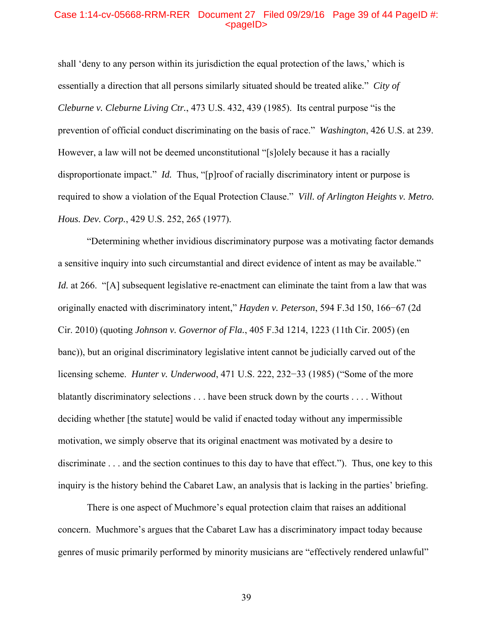#### Case 1:14-cv-05668-RRM-RER Document 27 Filed 09/29/16 Page 39 of 44 PageID #: <pageID>

shall 'deny to any person within its jurisdiction the equal protection of the laws,' which is essentially a direction that all persons similarly situated should be treated alike." *City of Cleburne v. Cleburne Living Ctr.*, 473 U.S. 432, 439 (1985). Its central purpose "is the prevention of official conduct discriminating on the basis of race." *Washington*, 426 U.S. at 239. However, a law will not be deemed unconstitutional "[s]olely because it has a racially disproportionate impact." *Id.* Thus, "[p]roof of racially discriminatory intent or purpose is required to show a violation of the Equal Protection Clause." *Vill. of Arlington Heights v. Metro. Hous. Dev. Corp.*, 429 U.S. 252, 265 (1977).

"Determining whether invidious discriminatory purpose was a motivating factor demands a sensitive inquiry into such circumstantial and direct evidence of intent as may be available." *Id.* at 266. "[A] subsequent legislative re-enactment can eliminate the taint from a law that was originally enacted with discriminatory intent," *Hayden v. Peterson*, 594 F.3d 150, 166−67 (2d Cir. 2010) (quoting *Johnson v. Governor of Fla.*, 405 F.3d 1214, 1223 (11th Cir. 2005) (en banc)), but an original discriminatory legislative intent cannot be judicially carved out of the licensing scheme. *Hunter v. Underwood*, 471 U.S. 222, 232−33 (1985) ("Some of the more blatantly discriminatory selections . . . have been struck down by the courts . . . . Without deciding whether [the statute] would be valid if enacted today without any impermissible motivation, we simply observe that its original enactment was motivated by a desire to discriminate . . . and the section continues to this day to have that effect."). Thus, one key to this inquiry is the history behind the Cabaret Law, an analysis that is lacking in the parties' briefing.

There is one aspect of Muchmore's equal protection claim that raises an additional concern. Muchmore's argues that the Cabaret Law has a discriminatory impact today because genres of music primarily performed by minority musicians are "effectively rendered unlawful"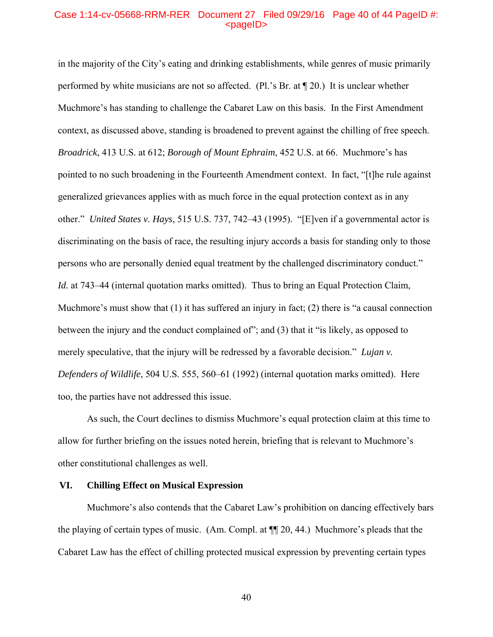## Case 1:14-cv-05668-RRM-RER Document 27 Filed 09/29/16 Page 40 of 44 PageID #: <pageID>

in the majority of the City's eating and drinking establishments, while genres of music primarily performed by white musicians are not so affected. (Pl.'s Br. at ¶ 20.) It is unclear whether Muchmore's has standing to challenge the Cabaret Law on this basis. In the First Amendment context, as discussed above, standing is broadened to prevent against the chilling of free speech. *Broadrick*, 413 U.S. at 612; *Borough of Mount Ephraim*, 452 U.S. at 66. Muchmore's has pointed to no such broadening in the Fourteenth Amendment context. In fact, "[t]he rule against generalized grievances applies with as much force in the equal protection context as in any other." *United States v. Hays*, 515 U.S. 737, 742–43 (1995). "[E]ven if a governmental actor is discriminating on the basis of race, the resulting injury accords a basis for standing only to those persons who are personally denied equal treatment by the challenged discriminatory conduct." *Id.* at 743–44 (internal quotation marks omitted). Thus to bring an Equal Protection Claim, Muchmore's must show that (1) it has suffered an injury in fact; (2) there is "a causal connection between the injury and the conduct complained of"; and (3) that it "is likely, as opposed to merely speculative, that the injury will be redressed by a favorable decision." *Lujan v. Defenders of Wildlife*, 504 U.S. 555, 560–61 (1992) (internal quotation marks omitted). Here too, the parties have not addressed this issue.

As such, the Court declines to dismiss Muchmore's equal protection claim at this time to allow for further briefing on the issues noted herein, briefing that is relevant to Muchmore's other constitutional challenges as well.

## **VI. Chilling Effect on Musical Expression**

Muchmore's also contends that the Cabaret Law's prohibition on dancing effectively bars the playing of certain types of music. (Am. Compl. at ¶¶ 20, 44.) Muchmore's pleads that the Cabaret Law has the effect of chilling protected musical expression by preventing certain types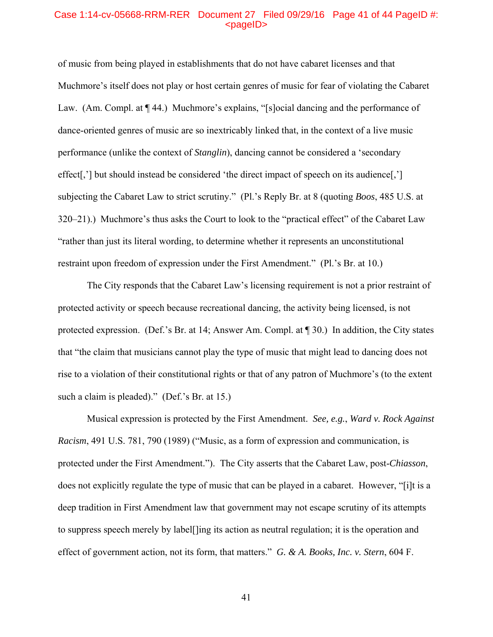#### Case 1:14-cv-05668-RRM-RER Document 27 Filed 09/29/16 Page 41 of 44 PageID #: <pageID>

of music from being played in establishments that do not have cabaret licenses and that Muchmore's itself does not play or host certain genres of music for fear of violating the Cabaret Law. (Am. Compl. at  $\P$  44.) Muchmore's explains, "[s]ocial dancing and the performance of dance-oriented genres of music are so inextricably linked that, in the context of a live music performance (unlike the context of *Stanglin*), dancing cannot be considered a 'secondary effect[,'] but should instead be considered 'the direct impact of speech on its audience[,'] subjecting the Cabaret Law to strict scrutiny." (Pl.'s Reply Br. at 8 (quoting *Boos*, 485 U.S. at 320–21).) Muchmore's thus asks the Court to look to the "practical effect" of the Cabaret Law "rather than just its literal wording, to determine whether it represents an unconstitutional restraint upon freedom of expression under the First Amendment." (Pl.'s Br. at 10.)

The City responds that the Cabaret Law's licensing requirement is not a prior restraint of protected activity or speech because recreational dancing, the activity being licensed, is not protected expression. (Def.'s Br. at 14; Answer Am. Compl. at ¶ 30.) In addition, the City states that "the claim that musicians cannot play the type of music that might lead to dancing does not rise to a violation of their constitutional rights or that of any patron of Muchmore's (to the extent such a claim is pleaded)." (Def.'s Br. at 15.)

Musical expression is protected by the First Amendment. *See, e.g.*, *Ward v. Rock Against Racism*, 491 U.S. 781, 790 (1989) ("Music, as a form of expression and communication, is protected under the First Amendment."). The City asserts that the Cabaret Law, post-*Chiasson*, does not explicitly regulate the type of music that can be played in a cabaret. However, "[i]t is a deep tradition in First Amendment law that government may not escape scrutiny of its attempts to suppress speech merely by label[]ing its action as neutral regulation; it is the operation and effect of government action, not its form, that matters." *G. & A. Books, Inc. v. Stern*, 604 F.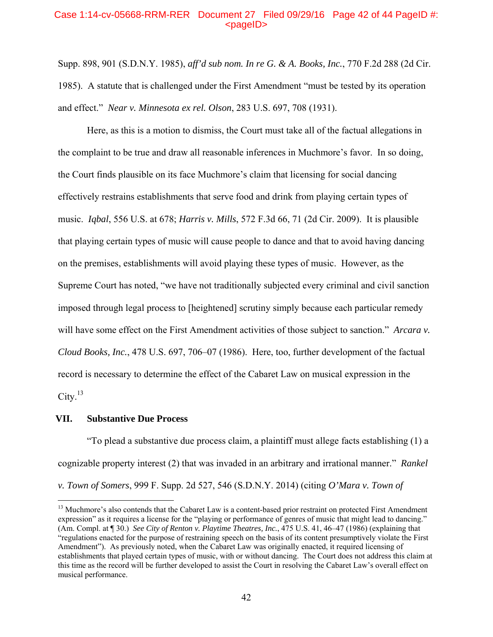## Case 1:14-cv-05668-RRM-RER Document 27 Filed 09/29/16 Page 42 of 44 PageID #:  $<sub>pa</sub>$  $<sub>o</sub>$ </sub></sub>

Supp. 898, 901 (S.D.N.Y. 1985), *aff'd sub nom. In re G. & A. Books, Inc.*, 770 F.2d 288 (2d Cir. 1985). A statute that is challenged under the First Amendment "must be tested by its operation and effect." *Near v. Minnesota ex rel. Olson*, 283 U.S. 697, 708 (1931).

Here, as this is a motion to dismiss, the Court must take all of the factual allegations in the complaint to be true and draw all reasonable inferences in Muchmore's favor. In so doing, the Court finds plausible on its face Muchmore's claim that licensing for social dancing effectively restrains establishments that serve food and drink from playing certain types of music. *Iqbal*, 556 U.S. at 678; *Harris v. Mills*, 572 F.3d 66, 71 (2d Cir. 2009). It is plausible that playing certain types of music will cause people to dance and that to avoid having dancing on the premises, establishments will avoid playing these types of music. However, as the Supreme Court has noted, "we have not traditionally subjected every criminal and civil sanction imposed through legal process to [heightened] scrutiny simply because each particular remedy will have some effect on the First Amendment activities of those subject to sanction." *Arcara v. Cloud Books, Inc.*, 478 U.S. 697, 706–07 (1986). Here, too, further development of the factual record is necessary to determine the effect of the Cabaret Law on musical expression in the  $City.<sup>13</sup>$ 

#### **VII. Substantive Due Process**

 $\overline{a}$ 

"To plead a substantive due process claim, a plaintiff must allege facts establishing (1) a cognizable property interest (2) that was invaded in an arbitrary and irrational manner." *Rankel v. Town of Somers*, 999 F. Supp. 2d 527, 546 (S.D.N.Y. 2014) (citing *O'Mara v. Town of* 

<sup>&</sup>lt;sup>13</sup> Muchmore's also contends that the Cabaret Law is a content-based prior restraint on protected First Amendment expression" as it requires a license for the "playing or performance of genres of music that might lead to dancing." (Am. Compl. at ¶ 30.) *See City of Renton v. Playtime Theatres, Inc.*, 475 U.S. 41, 46–47 (1986) (explaining that "regulations enacted for the purpose of restraining speech on the basis of its content presumptively violate the First Amendment"). As previously noted, when the Cabaret Law was originally enacted, it required licensing of establishments that played certain types of music, with or without dancing. The Court does not address this claim at this time as the record will be further developed to assist the Court in resolving the Cabaret Law's overall effect on musical performance.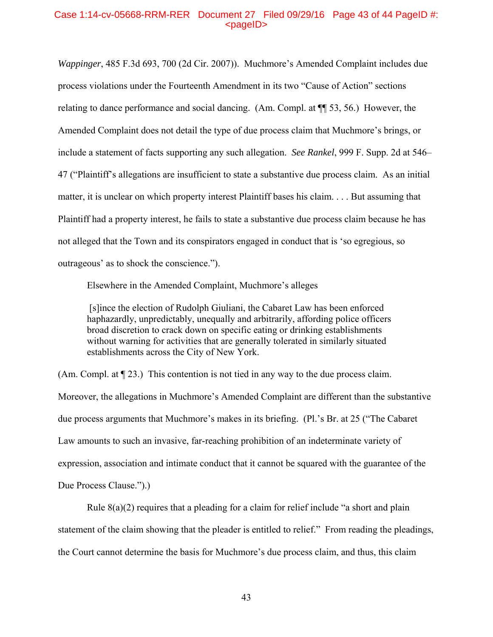## Case 1:14-cv-05668-RRM-RER Document 27 Filed 09/29/16 Page 43 of 44 PageID #:  $<$ pageID $>$

*Wappinger*, 485 F.3d 693, 700 (2d Cir. 2007)). Muchmore's Amended Complaint includes due process violations under the Fourteenth Amendment in its two "Cause of Action" sections relating to dance performance and social dancing. (Am. Compl. at ¶¶ 53, 56.) However, the Amended Complaint does not detail the type of due process claim that Muchmore's brings, or include a statement of facts supporting any such allegation. *See Rankel*, 999 F. Supp. 2d at 546– 47 ("Plaintiff's allegations are insufficient to state a substantive due process claim. As an initial matter, it is unclear on which property interest Plaintiff bases his claim. . . . But assuming that Plaintiff had a property interest, he fails to state a substantive due process claim because he has not alleged that the Town and its conspirators engaged in conduct that is 'so egregious, so outrageous' as to shock the conscience.").

Elsewhere in the Amended Complaint, Muchmore's alleges

 [s]ince the election of Rudolph Giuliani, the Cabaret Law has been enforced haphazardly, unpredictably, unequally and arbitrarily, affording police officers broad discretion to crack down on specific eating or drinking establishments without warning for activities that are generally tolerated in similarly situated establishments across the City of New York.

(Am. Compl. at ¶ 23.) This contention is not tied in any way to the due process claim. Moreover, the allegations in Muchmore's Amended Complaint are different than the substantive due process arguments that Muchmore's makes in its briefing. (Pl.'s Br. at 25 ("The Cabaret Law amounts to such an invasive, far-reaching prohibition of an indeterminate variety of expression, association and intimate conduct that it cannot be squared with the guarantee of the Due Process Clause.").)

Rule  $8(a)(2)$  requires that a pleading for a claim for relief include "a short and plain statement of the claim showing that the pleader is entitled to relief." From reading the pleadings, the Court cannot determine the basis for Muchmore's due process claim, and thus, this claim